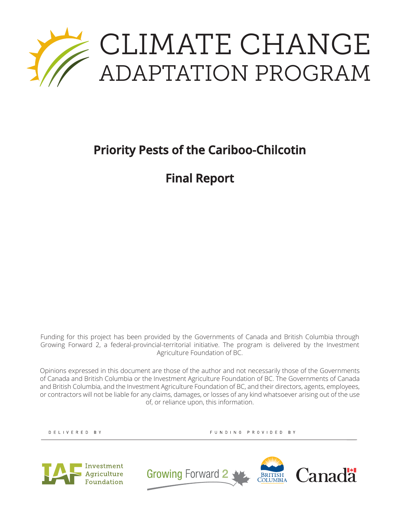

# **Priority Pests of the Cariboo-Chilcotin**

**Final Report**

Funding for this project has been provided by the Governments of Canada and British Columbia through Growing Forward 2, a federal-provincial-territorial initiative. The program is delivered by the Investment Agriculture Foundation of BC.

Opinions expressed in this document are those of the author and not necessarily those of the Governments of Canada and British Columbia or the Investment Agriculture Foundation of BC. The Governments of Canada and British Columbia, and the Investment Agriculture Foundation of BC, and their directors, agents, employees, or contractors will not be liable for any claims, damages, or losses of any kind whatsoever arising out of the use of, or reliance upon, this information.

DELIVERED BY

FUNDING PROVIDED BY



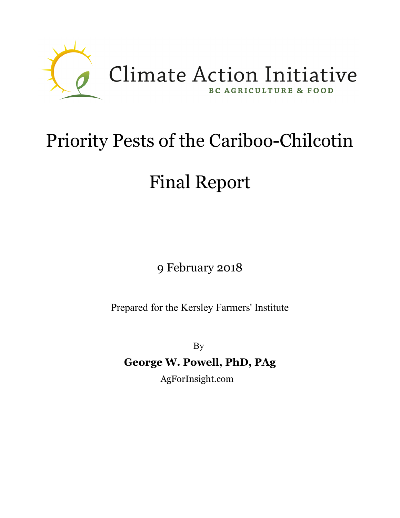

# Priority Pests of the Cariboo-Chilcotin

# Final Report

9 February 2018

Prepared for the Kersley Farmers' Institute

By

**George W. Powell, PhD, PAg**

AgForInsight.com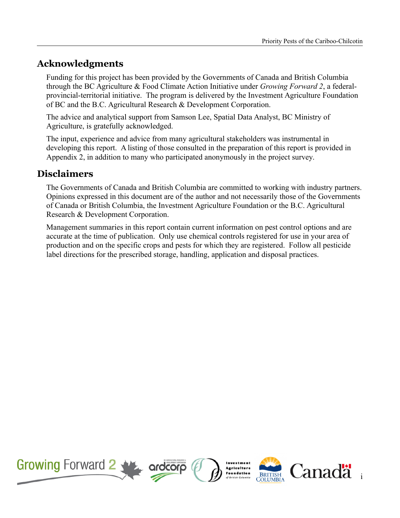# **Acknowledgments**

Funding for this project has been provided by the Governments of Canada and British Columbia through the BC Agriculture & Food Climate Action Initiative under *Growing Forward 2*, a federalprovincial-territorial initiative. The program is delivered by the Investment Agriculture Foundation of BC and the B.C. Agricultural Research & Development Corporation.

The advice and analytical support from Samson Lee, Spatial Data Analyst, BC Ministry of Agriculture, is gratefully acknowledged.

The input, experience and advice from many agricultural stakeholders was instrumental in developing this report. A listing of those consulted in the preparation of this report is provided in Appendix 2, in addition to many who participated anonymously in the project survey.

# **Disclaimers**

The Governments of Canada and British Columbia are committed to working with industry partners. Opinions expressed in this document are of the author and not necessarily those of the Governments of Canada or British Columbia, the Investment Agriculture Foundation or the B.C. Agricultural Research & Development Corporation.

Management summaries in this report contain current information on pest control options and are accurate at the time of publication. Only use chemical controls registered for use in your area of production and on the specific crops and pests for which they are registered. Follow all pesticide label directions for the prescribed storage, handling, application and disposal practices.

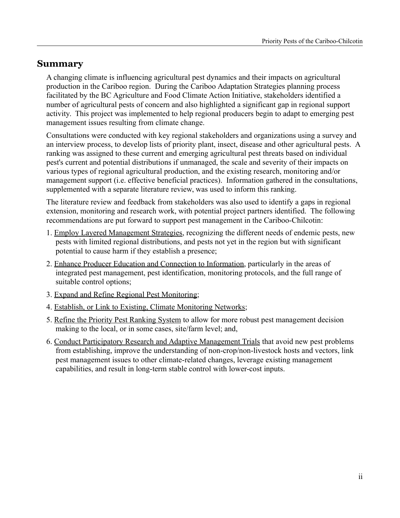# **Summary**

A changing climate is influencing agricultural pest dynamics and their impacts on agricultural production in the Cariboo region. During the Cariboo Adaptation Strategies planning process facilitated by the BC Agriculture and Food Climate Action Initiative, stakeholders identified a number of agricultural pests of concern and also highlighted a significant gap in regional support activity. This project was implemented to help regional producers begin to adapt to emerging pest management issues resulting from climate change.

Consultations were conducted with key regional stakeholders and organizations using a survey and an interview process, to develop lists of priority plant, insect, disease and other agricultural pests. A ranking was assigned to these current and emerging agricultural pest threats based on individual pest's current and potential distributions if unmanaged, the scale and severity of their impacts on various types of regional agricultural production, and the existing research, monitoring and/or management support (i.e. effective beneficial practices). Information gathered in the consultations, supplemented with a separate literature review, was used to inform this ranking.

The literature review and feedback from stakeholders was also used to identify a gaps in regional extension, monitoring and research work, with potential project partners identified. The following recommendations are put forward to support pest management in the Cariboo-Chilcotin:

- 1. Employ Layered Management Strategies, recognizing the different needs of endemic pests, new pests with limited regional distributions, and pests not yet in the region but with significant potential to cause harm if they establish a presence;
- 2. Enhance Producer Education and Connection to Information, particularly in the areas of integrated pest management, pest identification, monitoring protocols, and the full range of suitable control options;
- 3. Expand and Refine Regional Pest Monitoring;
- 4. Establish, or Link to Existing, Climate Monitoring Networks;
- 5. Refine the Priority Pest Ranking System to allow for more robust pest management decision making to the local, or in some cases, site/farm level; and,
- 6. Conduct Participatory Research and Adaptive Management Trials that avoid new pest problems from establishing, improve the understanding of non-crop/non-livestock hosts and vectors, link pest management issues to other climate-related changes, leverage existing management capabilities, and result in long-term stable control with lower-cost inputs.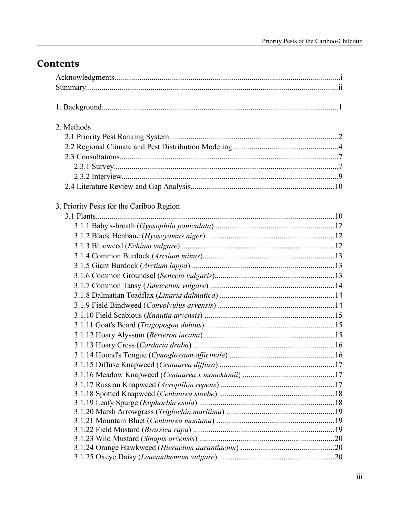# **Contents**

| 2. Methods                               |  |
|------------------------------------------|--|
|                                          |  |
|                                          |  |
|                                          |  |
|                                          |  |
|                                          |  |
|                                          |  |
| 3. Priority Pests for the Cariboo Region |  |
|                                          |  |
|                                          |  |
|                                          |  |
|                                          |  |
|                                          |  |
|                                          |  |
|                                          |  |
|                                          |  |
|                                          |  |
|                                          |  |
|                                          |  |
|                                          |  |
|                                          |  |
|                                          |  |
|                                          |  |
|                                          |  |
|                                          |  |
|                                          |  |
|                                          |  |
|                                          |  |
|                                          |  |
|                                          |  |
|                                          |  |
|                                          |  |
|                                          |  |
|                                          |  |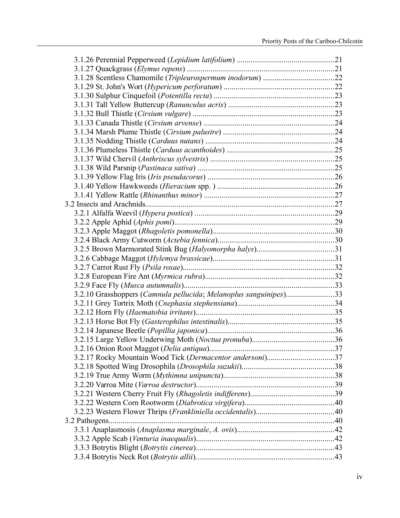| 3.2.10 Grasshoppers (Camnula pellucida; Melanoplus sanguinipes)33 |  |
|-------------------------------------------------------------------|--|
|                                                                   |  |
|                                                                   |  |
|                                                                   |  |
|                                                                   |  |
|                                                                   |  |
|                                                                   |  |
|                                                                   |  |
|                                                                   |  |
|                                                                   |  |
|                                                                   |  |
|                                                                   |  |
|                                                                   |  |
|                                                                   |  |
|                                                                   |  |
|                                                                   |  |
|                                                                   |  |
|                                                                   |  |
|                                                                   |  |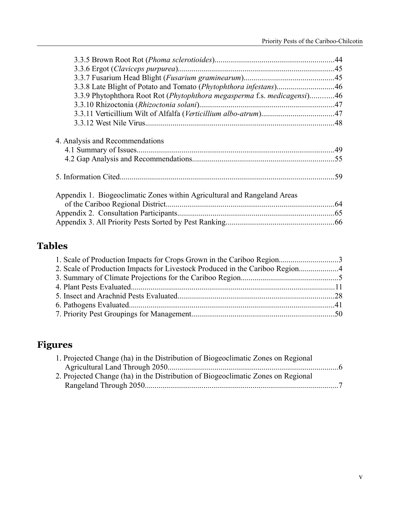| 3.3.9 Phytophthora Root Rot (Phytophthora megasperma f.s. medicagensi)46 |  |
|--------------------------------------------------------------------------|--|
|                                                                          |  |
|                                                                          |  |
|                                                                          |  |
| 4. Analysis and Recommendations                                          |  |
|                                                                          |  |
| Appendix 1. Biogeoclimatic Zones within Agricultural and Rangeland Areas |  |
|                                                                          |  |

# **Tables**

| 2. Scale of Production Impacts for Livestock Produced in the Cariboo Region |  |
|-----------------------------------------------------------------------------|--|
|                                                                             |  |
|                                                                             |  |
|                                                                             |  |
|                                                                             |  |
|                                                                             |  |

# **Figures**

| 1. Projected Change (ha) in the Distribution of Biogeoclimatic Zones on Regional |  |
|----------------------------------------------------------------------------------|--|
|                                                                                  |  |
| 2. Projected Change (ha) in the Distribution of Biogeoclimatic Zones on Regional |  |
|                                                                                  |  |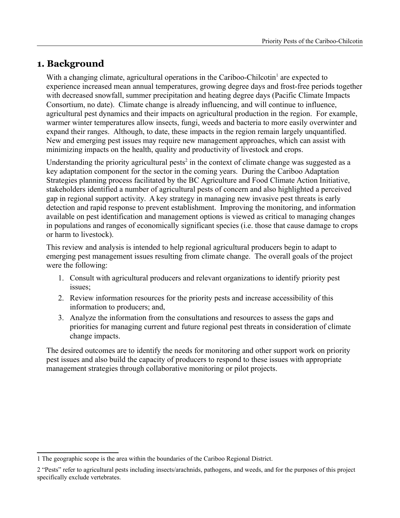# **1. Background**

With a changing climate, agricultural operations in the Cariboo-Chilcotin<sup>[1](#page-7-0)</sup> are expected to experience increased mean annual temperatures, growing degree days and frost-free periods together with decreased snowfall, summer precipitation and heating degree days (Pacific Climate Impacts Consortium, no date). Climate change is already influencing, and will continue to influence, agricultural pest dynamics and their impacts on agricultural production in the region. For example, warmer winter temperatures allow insects, fungi, weeds and bacteria to more easily overwinter and expand their ranges. Although, to date, these impacts in the region remain largely unquantified. New and emerging pest issues may require new management approaches, which can assist with minimizing impacts on the health, quality and productivity of livestock and crops.

Understanding the priority agricultural pests<sup>[2](#page-7-1)</sup> in the context of climate change was suggested as a key adaptation component for the sector in the coming years. During the Cariboo Adaptation Strategies planning process facilitated by the BC Agriculture and Food Climate Action Initiative, stakeholders identified a number of agricultural pests of concern and also highlighted a perceived gap in regional support activity. A key strategy in managing new invasive pest threats is early detection and rapid response to prevent establishment. Improving the monitoring, and information available on pest identification and management options is viewed as critical to managing changes in populations and ranges of economically significant species (i.e. those that cause damage to crops or harm to livestock).

This review and analysis is intended to help regional agricultural producers begin to adapt to emerging pest management issues resulting from climate change. The overall goals of the project were the following:

- 1. Consult with agricultural producers and relevant organizations to identify priority pest issues;
- 2. Review information resources for the priority pests and increase accessibility of this information to producers; and,
- 3. Analyze the information from the consultations and resources to assess the gaps and priorities for managing current and future regional pest threats in consideration of climate change impacts.

The desired outcomes are to identify the needs for monitoring and other support work on priority pest issues and also build the capacity of producers to respond to these issues with appropriate management strategies through collaborative monitoring or pilot projects.

<span id="page-7-0"></span><sup>1</sup> The geographic scope is the area within the boundaries of the Cariboo Regional District.

<span id="page-7-1"></span><sup>2</sup> "Pests" refer to agricultural pests including insects/arachnids, pathogens, and weeds, and for the purposes of this project specifically exclude vertebrates.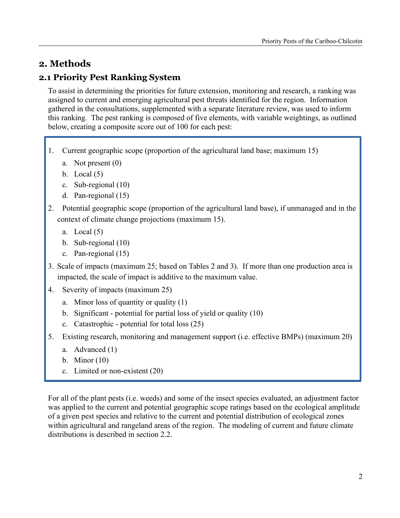# **2. Methods**

# **2.1 Priority Pest Ranking System**

To assist in determining the priorities for future extension, monitoring and research, a ranking was assigned to current and emerging agricultural pest threats identified for the region. Information gathered in the consultations, supplemented with a separate literature review, was used to inform this ranking. The pest ranking is composed of five elements, with variable weightings, as outlined below, creating a composite score out of 100 for each pest:

- 1. Current geographic scope (proportion of the agricultural land base; maximum 15)
	- a. Not present (0)
	- b. Local  $(5)$
	- c. Sub-regional (10)
	- d. Pan-regional (15)
- 2. Potential geographic scope (proportion of the agricultural land base), if unmanaged and in the context of climate change projections (maximum 15).
	- a. Local  $(5)$
	- b. Sub-regional (10)
	- c. Pan-regional (15)
- 3. Scale of impacts (maximum 25; based on Tables 2 and 3). If more than one production area is impacted, the scale of impact is additive to the maximum value.
- 4. Severity of impacts (maximum 25)
	- a. Minor loss of quantity or quality (1)
	- b. Significant potential for partial loss of yield or quality (10)
	- c. Catastrophic potential for total loss (25)
- 5. Existing research, monitoring and management support (i.e. effective BMPs) (maximum 20)
	- a. Advanced (1)
	- b. Minor (10)
	- c. Limited or non-existent (20)

For all of the plant pests (i.e. weeds) and some of the insect species evaluated, an adjustment factor was applied to the current and potential geographic scope ratings based on the ecological amplitude of a given pest species and relative to the current and potential distribution of ecological zones within agricultural and rangeland areas of the region. The modeling of current and future climate distributions is described in section 2.2.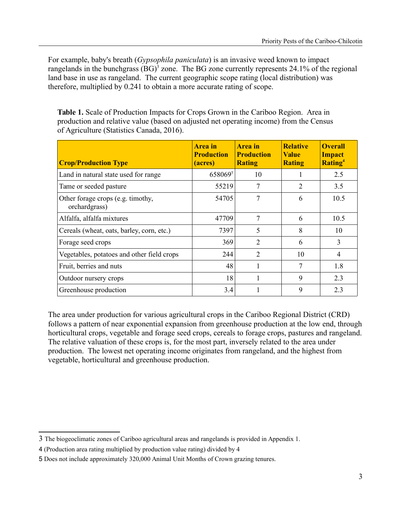For example, baby's breath (*Gypsophila paniculata*) is an invasive weed known to impact rangelands in the bunchgrass  $(BG)^3$  $(BG)^3$  zone. The BG zone currently represents 24.1% of the regional land base in use as rangeland. The current geographic scope rating (local distribution) was therefore, multiplied by 0.241 to obtain a more accurate rating of scope.

**Table 1.** Scale of Production Impacts for Crops Grown in the Cariboo Region. Area in production and relative value (based on adjusted net operating income) from the Census of Agriculture (Statistics Canada, 2016).

| <b>Crop/Production Type</b>                        | Area in<br><b>Production</b><br>(acres) | Area in<br><b>Production</b><br><b>Rating</b> | <b>Relative</b><br><b>Value</b><br><b>Rating</b> | <b>Overall</b><br><b>Impact</b><br><b>Rating</b> <sup>4</sup> |
|----------------------------------------------------|-----------------------------------------|-----------------------------------------------|--------------------------------------------------|---------------------------------------------------------------|
| Land in natural state used for range               | 658069 <sup>5</sup>                     | 10                                            |                                                  | 2.5                                                           |
| Tame or seeded pasture                             | 55219                                   | 7                                             | 2                                                | 3.5                                                           |
| Other forage crops (e.g. timothy,<br>orchardgrass) | 54705                                   | 7                                             | 6                                                | 10.5                                                          |
| Alfalfa, alfalfa mixtures                          | 47709                                   | 7                                             | 6                                                | 10.5                                                          |
| Cereals (wheat, oats, barley, corn, etc.)          | 7397                                    | 5                                             | 8                                                | 10                                                            |
| Forage seed crops                                  | 369                                     | 2                                             | 6                                                | 3                                                             |
| Vegetables, potatoes and other field crops         | 244                                     | $\overline{2}$                                | 10                                               | 4                                                             |
| Fruit, berries and nuts                            | 48                                      | 1                                             | 7                                                | 1.8                                                           |
| Outdoor nursery crops                              | 18                                      |                                               | 9                                                | 2.3                                                           |
| Greenhouse production                              | 3.4                                     |                                               | 9                                                | 2.3                                                           |

The area under production for various agricultural crops in the Cariboo Regional District (CRD) follows a pattern of near exponential expansion from greenhouse production at the low end, through horticultural crops, vegetable and forage seed crops, cereals to forage crops, pastures and rangeland. The relative valuation of these crops is, for the most part, inversely related to the area under production. The lowest net operating income originates from rangeland, and the highest from vegetable, horticultural and greenhouse production.

<span id="page-9-0"></span><sup>3</sup> The biogeoclimatic zones of Cariboo agricultural areas and rangelands is provided in Appendix 1.

<span id="page-9-1"></span><sup>4</sup> (Production area rating multiplied by production value rating) divided by 4

<span id="page-9-2"></span><sup>5</sup> Does not include approximately 320,000 Animal Unit Months of Crown grazing tenures.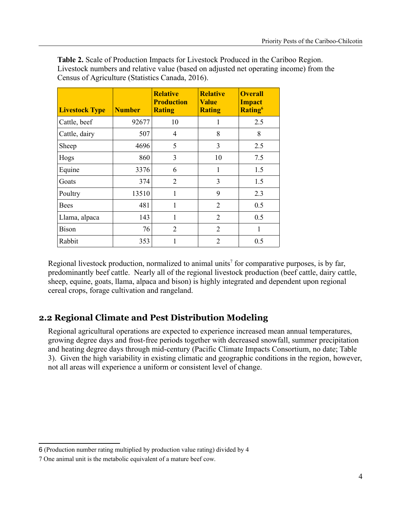**Table 2.** Scale of Production Impacts for Livestock Produced in the Cariboo Region. Livestock numbers and relative value (based on adjusted net operating income) from the Census of Agriculture (Statistics Canada, 2016).

| <b>Livestock Type</b> | <b>Number</b> | <b>Relative</b><br><b>Production</b><br><b>Rating</b> | <b>Relative</b><br><b>Value</b><br><b>Rating</b> | <b>Overall</b><br><b>Impact</b><br>Rating <sup>6</sup> |
|-----------------------|---------------|-------------------------------------------------------|--------------------------------------------------|--------------------------------------------------------|
| Cattle, beef          | 92677         | 10                                                    | 1                                                | 2.5                                                    |
| Cattle, dairy         | 507           | $\overline{4}$                                        | 8                                                | 8                                                      |
| Sheep                 | 4696          | 5                                                     | 3                                                | 2.5                                                    |
| Hogs                  | 860           | 3                                                     | 10                                               | 7.5                                                    |
| Equine                | 3376          | 6                                                     | 1                                                | 1.5                                                    |
| Goats                 | 374           | 2                                                     | 3                                                | 1.5                                                    |
| Poultry               | 13510         | 1                                                     | 9                                                | 2.3                                                    |
| <b>Bees</b>           | 481           | 1                                                     | 2                                                | 0.5                                                    |
| Llama, alpaca         | 143           | 1                                                     | $\overline{2}$                                   | 0.5                                                    |
| <b>Bison</b>          | 76            | $\overline{2}$                                        | 2                                                | 1                                                      |
| Rabbit                | 353           | 1                                                     | $\overline{2}$                                   | 0.5                                                    |

Regional livestock production, normalized to animal units<sup>[7](#page-10-1)</sup> for comparative purposes, is by far, predominantly beef cattle. Nearly all of the regional livestock production (beef cattle, dairy cattle, sheep, equine, goats, llama, alpaca and bison) is highly integrated and dependent upon regional cereal crops, forage cultivation and rangeland.

# **2.2 Regional Climate and Pest Distribution Modeling**

Regional agricultural operations are expected to experience increased mean annual temperatures, growing degree days and frost-free periods together with decreased snowfall, summer precipitation and heating degree days through mid-century (Pacific Climate Impacts Consortium, no date; Table 3). Given the high variability in existing climatic and geographic conditions in the region, however, not all areas will experience a uniform or consistent level of change.

<span id="page-10-0"></span><sup>6</sup> (Production number rating multiplied by production value rating) divided by 4

<span id="page-10-1"></span><sup>7</sup> One animal unit is the metabolic equivalent of a mature beef cow.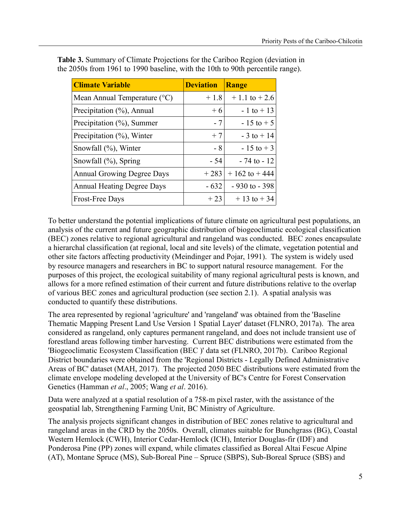| <b>Climate Variable</b>                 | <b>Deviation</b> | <b>Range</b>     |
|-----------------------------------------|------------------|------------------|
| Mean Annual Temperature $({}^{\circ}C)$ | $+1.8$           | $+1.1$ to $+2.6$ |
| Precipitation (%), Annual               | $+6$             | $-1$ to $+13$    |
| Precipitation $(\% )$ , Summer          | $-7$             | $-15$ to $+5$    |
| Precipitation $(\%)$ , Winter           | $+7$             | $-3$ to $+14$    |
| Snowfall $(\%)$ , Winter                | $-8$             | $-15$ to $+3$    |
| Snowfall $(\%)$ , Spring                | - 54             | $-74$ to $-12$   |
| <b>Annual Growing Degree Days</b>       | $+283$           | $+162$ to $+444$ |
| <b>Annual Heating Degree Days</b>       | $-632$           | $-930$ to $-398$ |
| <b>Frost-Free Days</b>                  | $+23$            | $+13$ to $+34$   |

**Table 3.** Summary of Climate Projections for the Cariboo Region (deviation in the 2050s from 1961 to 1990 baseline, with the 10th to 90th percentile range).

To better understand the potential implications of future climate on agricultural pest populations, an analysis of the current and future geographic distribution of biogeoclimatic ecological classification (BEC) zones relative to regional agricultural and rangeland was conducted. BEC zones encapsulate a hierarchal classification (at regional, local and site levels) of the climate, vegetation potential and other site factors affecting productivity (Meindinger and Pojar, 1991). The system is widely used by resource managers and researchers in BC to support natural resource management. For the purposes of this project, the ecological suitability of many regional agricultural pests is known, and allows for a more refined estimation of their current and future distributions relative to the overlap of various BEC zones and agricultural production (see section 2.1). A spatial analysis was conducted to quantify these distributions.

The area represented by regional 'agriculture' and 'rangeland' was obtained from the 'Baseline Thematic Mapping Present Land Use Version 1 Spatial Layer' dataset (FLNRO, 2017a). The area considered as rangeland, only captures permanent rangeland, and does not include transient use of forestland areas following timber harvesting. Current BEC distributions were estimated from the 'Biogeoclimatic Ecosystem Classification (BEC )' data set (FLNRO, 2017b). Cariboo Regional District boundaries were obtained from the 'Regional Districts - Legally Defined Administrative Areas of BC' dataset (MAH, 2017). The projected 2050 BEC distributions were estimated from the climate envelope modeling developed at the University of BC's Centre for Forest Conservation Genetics (Hamman *et al*., 2005; Wang *et al*. 2016).

Data were analyzed at a spatial resolution of a 758-m pixel raster, with the assistance of the geospatial lab, Strengthening Farming Unit, BC Ministry of Agriculture.

The analysis projects significant changes in distribution of BEC zones relative to agricultural and rangeland areas in the CRD by the 2050s. Overall, climates suitable for Bunchgrass (BG), Coastal Western Hemlock (CWH), Interior Cedar-Hemlock (ICH), Interior Douglas-fir (IDF) and Ponderosa Pine (PP) zones will expand, while climates classified as Boreal Altai Fescue Alpine (AT), Montane Spruce (MS), Sub-Boreal Pine – Spruce (SBPS), Sub-Boreal Spruce (SBS) and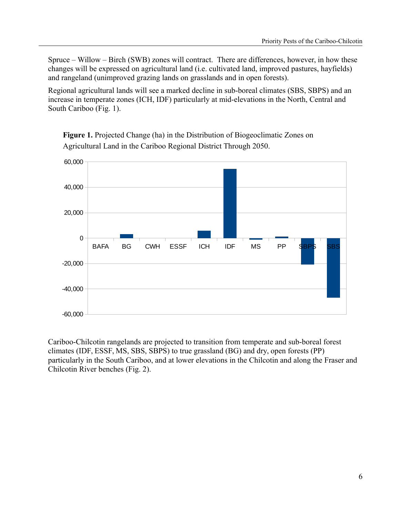Spruce – Willow – Birch (SWB) zones will contract. There are differences, however, in how these changes will be expressed on agricultural land (i.e. cultivated land, improved pastures, hayfields) and rangeland (unimproved grazing lands on grasslands and in open forests).

Regional agricultural lands will see a marked decline in sub-boreal climates (SBS, SBPS) and an increase in temperate zones (ICH, IDF) particularly at mid-elevations in the North, Central and South Cariboo (Fig. 1).



**Figure 1.** Projected Change (ha) in the Distribution of Biogeoclimatic Zones on Agricultural Land in the Cariboo Regional District Through 2050.

Cariboo-Chilcotin rangelands are projected to transition from temperate and sub-boreal forest climates (IDF, ESSF, MS, SBS, SBPS) to true grassland (BG) and dry, open forests (PP) particularly in the South Cariboo, and at lower elevations in the Chilcotin and along the Fraser and Chilcotin River benches (Fig. 2).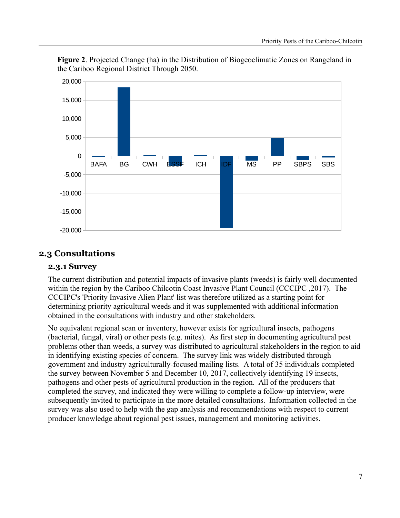



# **2.3 Consultations**

#### **2.3.1 Survey**

The current distribution and potential impacts of invasive plants (weeds) is fairly well documented within the region by the Cariboo Chilcotin Coast Invasive Plant Council (CCCIPC ,2017). The CCCIPC's 'Priority Invasive Alien Plant' list was therefore utilized as a starting point for determining priority agricultural weeds and it was supplemented with additional information obtained in the consultations with industry and other stakeholders.

No equivalent regional scan or inventory, however exists for agricultural insects, pathogens (bacterial, fungal, viral) or other pests (e.g. mites). As first step in documenting agricultural pest problems other than weeds, a survey was distributed to agricultural stakeholders in the region to aid in identifying existing species of concern. The survey link was widely distributed through government and industry agriculturally-focused mailing lists. A total of 35 individuals completed the survey between November 5 and December 10, 2017, collectively identifying 19 insects, pathogens and other pests of agricultural production in the region. All of the producers that completed the survey, and indicated they were willing to complete a follow-up interview, were subsequently invited to participate in the more detailed consultations. Information collected in the survey was also used to help with the gap analysis and recommendations with respect to current producer knowledge about regional pest issues, management and monitoring activities.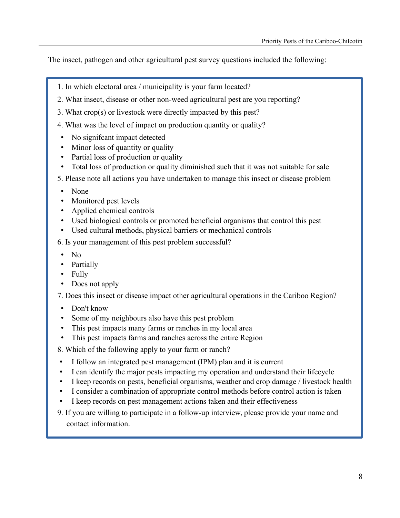The insect, pathogen and other agricultural pest survey questions included the following:

- 1. In which electoral area / municipality is your farm located?
- 2. What insect, disease or other non-weed agricultural pest are you reporting?
- 3. What crop(s) or livestock were directly impacted by this pest?
- 4. What was the level of impact on production quantity or quality?
- No significant impact detected
- Minor loss of quantity or quality
- Partial loss of production or quality
- Total loss of production or quality diminished such that it was not suitable for sale
- 5. Please note all actions you have undertaken to manage this insect or disease problem
- None
- Monitored pest levels
- Applied chemical controls
- Used biological controls or promoted beneficial organisms that control this pest
- Used cultural methods, physical barriers or mechanical controls
- 6. Is your management of this pest problem successful?
- No
- Partially
- Fully
- Does not apply

7. Does this insect or disease impact other agricultural operations in the Cariboo Region?

- Don't know
- Some of my neighbours also have this pest problem
- This pest impacts many farms or ranches in my local area
- This pest impacts farms and ranches across the entire Region
- 8. Which of the following apply to your farm or ranch?
- I follow an integrated pest management (IPM) plan and it is current
- I can identify the major pests impacting my operation and understand their lifecycle
- I keep records on pests, beneficial organisms, weather and crop damage / livestock health
- I consider a combination of appropriate control methods before control action is taken
- I keep records on pest management actions taken and their effectiveness
- 9. If you are willing to participate in a follow-up interview, please provide your name and contact information.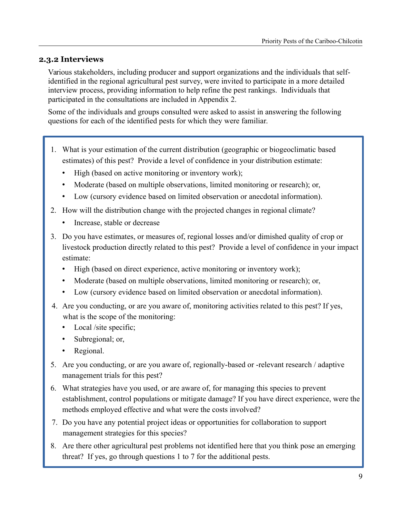# **2.3.2 Interviews**

Various stakeholders, including producer and support organizations and the individuals that selfidentified in the regional agricultural pest survey, were invited to participate in a more detailed interview process, providing information to help refine the pest rankings. Individuals that participated in the consultations are included in Appendix 2.

Some of the individuals and groups consulted were asked to assist in answering the following questions for each of the identified pests for which they were familiar.

- 1. What is your estimation of the current distribution (geographic or biogeoclimatic based estimates) of this pest? Provide a level of confidence in your distribution estimate:
	- High (based on active monitoring or inventory work);
	- Moderate (based on multiple observations, limited monitoring or research); or,
	- Low (cursory evidence based on limited observation or anecdotal information).
- 2. How will the distribution change with the projected changes in regional climate?
	- Increase, stable or decrease
- 3. Do you have estimates, or measures of, regional losses and/or dimished quality of crop or livestock production directly related to this pest? Provide a level of confidence in your impact estimate:
	- High (based on direct experience, active monitoring or inventory work);
	- Moderate (based on multiple observations, limited monitoring or research); or,
	- Low (cursory evidence based on limited observation or anecdotal information).
- 4. Are you conducting, or are you aware of, monitoring activities related to this pest? If yes, what is the scope of the monitoring:
	- Local /site specific;
	- Subregional; or,
	- Regional.
- 5. Are you conducting, or are you aware of, regionally-based or -relevant research / adaptive management trials for this pest?
- 6. What strategies have you used, or are aware of, for managing this species to prevent establishment, control populations or mitigate damage? If you have direct experience, were the methods employed effective and what were the costs involved?
- 7. Do you have any potential project ideas or opportunities for collaboration to support management strategies for this species?
- 8. Are there other agricultural pest problems not identified here that you think pose an emerging threat? If yes, go through questions 1 to 7 for the additional pests.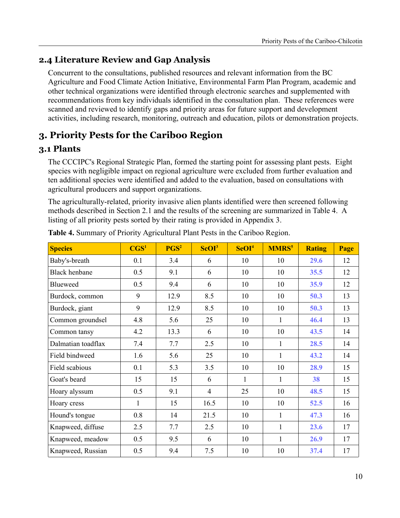# **2.4 Literature Review and Gap Analysis**

Concurrent to the consultations, published resources and relevant information from the BC Agriculture and Food Climate Action Initiative, Environmental Farm Plan Program, academic and other technical organizations were identified through electronic searches and supplemented with recommendations from key individuals identified in the consultation plan. These references were scanned and reviewed to identify gaps and priority areas for future support and development activities, including research, monitoring, outreach and education, pilots or demonstration projects.

# **3. Priority Pests for the Cariboo Region**

# **3.1 Plants**

The CCCIPC's Regional Strategic Plan, formed the starting point for assessing plant pests. Eight species with negligible impact on regional agriculture were excluded from further evaluation and ten additional species were identified and added to the evaluation, based on consultations with agricultural producers and support organizations.

The agriculturally-related, priority invasive alien plants identified were then screened following methods described in Section 2.1 and the results of the screening are summarized in Table 4. A listing of all priority pests sorted by their rating is provided in Appendix 3.

| <b>Species</b>       | CGS <sup>1</sup> | PGS <sup>2</sup> | ScOI <sup>3</sup> | SeOI <sup>4</sup> | <b>MMRS<sup>5</sup></b> | <b>Rating</b> | Page |
|----------------------|------------------|------------------|-------------------|-------------------|-------------------------|---------------|------|
| Baby's-breath        | 0.1              | 3.4              | 6                 | 10                | 10                      | 29.6          | 12   |
| <b>Black henbane</b> | 0.5              | 9.1              | 6                 | 10                | 10                      | 35.5          | 12   |
| Blueweed             | 0.5              | 9.4              | 6                 | 10                | 10                      | 35.9          | 12   |
| Burdock, common      | 9                | 12.9             | 8.5               | 10                | 10                      | 50.3          | 13   |
| Burdock, giant       | 9                | 12.9             | 8.5               | 10                | 10                      | 50.3          | 13   |
| Common groundsel     | 4.8              | 5.6              | 25                | 10                | 1                       | 46.4          | 13   |
| Common tansy         | 4.2              | 13.3             | 6                 | 10                | 10                      | 43.5          | 14   |
| Dalmatian toadflax   | 7.4              | 7.7              | 2.5               | 10                | 1                       | 28.5          | 14   |
| Field bindweed       | 1.6              | 5.6              | 25                | 10                | 1                       | 43.2          | 14   |
| Field scabious       | 0.1              | 5.3              | 3.5               | 10                | 10                      | 28.9          | 15   |
| Goat's beard         | 15               | 15               | 6                 | $\mathbf{1}$      | $\mathbf{1}$            | 38            | 15   |
| Hoary alyssum        | 0.5              | 9.1              | $\overline{4}$    | 25                | 10                      | 48.5          | 15   |
| Hoary cress          | 1                | 15               | 16.5              | 10                | 10                      | 52.5          | 16   |
| Hound's tongue       | 0.8              | 14               | 21.5              | 10                | $\mathbf{1}$            | 47.3          | 16   |
| Knapweed, diffuse    | 2.5              | 7.7              | 2.5               | 10                | $\mathbf{1}$            | 23.6          | 17   |
| Knapweed, meadow     | 0.5              | 9.5              | 6                 | 10                | $\mathbf{1}$            | 26.9          | 17   |
| Knapweed, Russian    | 0.5              | 9.4              | 7.5               | 10                | 10                      | 37.4          | 17   |

**Table 4.** Summary of Priority Agricultural Plant Pests in the Cariboo Region.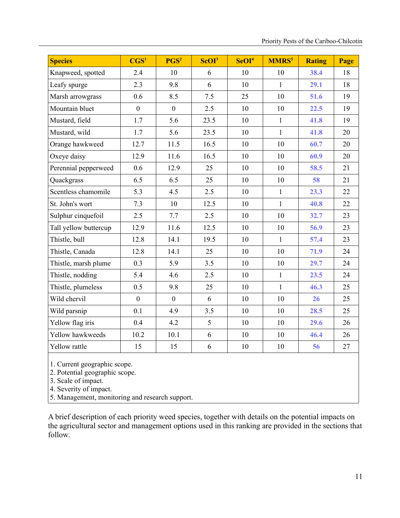| <b>Species</b>        | CGS <sup>1</sup> | PGS <sup>2</sup> | ScOI <sup>3</sup> | SeOI <sup>4</sup> | MMRS <sup>5</sup> | <b>Rating</b> | Page |
|-----------------------|------------------|------------------|-------------------|-------------------|-------------------|---------------|------|
| Knapweed, spotted     | 2.4              | 10               | 6                 | 10                | 10                | 38.4          | 18   |
| Leafy spurge          | 2.3              | 9.8              | 6                 | 10                | $\mathbf{1}$      | 29.1          | 18   |
| Marsh arrowgrass      | 0.6              | 8.5              | 7.5               | 25                | 10                | 51.6          | 19   |
| Mountain bluet        | $\mathbf{0}$     | $\boldsymbol{0}$ | 2.5               | 10                | 10                | 22.5          | 19   |
| Mustard, field        | 1.7              | 5.6              | 23.5              | 10                | $\mathbf{1}$      | 41.8          | 19   |
| Mustard, wild         | 1.7              | 5.6              | 23.5              | 10                | $\mathbf{1}$      | 41.8          | 20   |
| Orange hawkweed       | 12.7             | 11.5             | 16.5              | 10                | 10                | 60.7          | 20   |
| Oxeye daisy           | 12.9             | 11.6             | 16.5              | 10                | 10                | 60.9          | 20   |
| Perennial pepperweed  | 0.6              | 12.9             | 25                | 10                | 10                | 58.5          | 21   |
| Quackgrass            | 6.5              | 6.5              | 25                | 10                | 10                | 58            | 21   |
| Scentless chamomile   | 5.3              | 4.5              | 2.5               | 10                | $\mathbf{1}$      | 23.3          | 22   |
| St. John's wort       | 7.3              | 10               | 12.5              | 10                | $\mathbf{1}$      | 40.8          | 22   |
| Sulphur cinquefoil    | 2.5              | 7.7              | 2.5               | 10                | 10                | 32.7          | 23   |
| Tall yellow buttercup | 12.9             | 11.6             | 12.5              | 10                | 10                | 56.9          | 23   |
| Thistle, bull         | 12.8             | 14.1             | 19.5              | 10                | $\mathbf{1}$      | 57.4          | 23   |
| Thistle, Canada       | 12.8             | 14.1             | 25                | 10                | 10                | 71.9          | 24   |
| Thistle, marsh plume  | 0.3              | 5.9              | 3.5               | 10                | 10                | 29.7          | 24   |
| Thistle, nodding      | 5.4              | 4.6              | 2.5               | 10                | $\mathbf{1}$      | 23.5          | 24   |
| Thistle, plumeless    | 0.5              | 9.8              | 25                | 10                | $\mathbf{1}$      | 46.3          | 25   |
| Wild chervil          | $\mathbf{0}$     | $\mathbf{0}$     | 6                 | 10                | 10                | 26            | 25   |
| Wild parsnip          | 0.1              | 4.9              | 3.5               | 10                | 10                | 28.5          | 25   |
| Yellow flag iris      | 0.4              | 4.2              | 5                 | 10                | 10                | 29.6          | 26   |
| Yellow hawkweeds      | 10.2             | 10.1             | 6                 | 10                | 10                | 46.4          | 26   |
| Yellow rattle         | 15               | 15               | 6                 | 10                | 10                | 56            | 27   |

1. Current geographic scope.

2. Potential geographic scope.

3. Scale of impact.

4. Severity of impact.

5. Management, monitoring and research support.

A brief description of each priority weed species, together with details on the potential impacts on the agricultural sector and management options used in this ranking are provided in the sections that follow.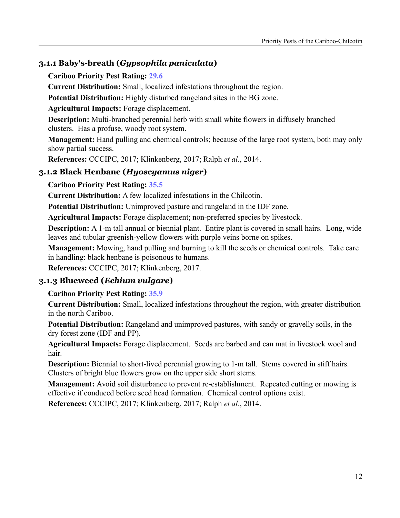# **3.1.1 Baby's-breath (***Gypsophila paniculata***)**

#### **Cariboo Priority Pest Rating: 29.6**

**Current Distribution:** Small, localized infestations throughout the region.

**Potential Distribution:** Highly disturbed rangeland sites in the BG zone.

**Agricultural Impacts:** Forage displacement.

**Description:** Multi-branched perennial herb with small white flowers in diffusely branched clusters. Has a profuse, woody root system.

**Management:** Hand pulling and chemical controls; because of the large root system, both may only show partial success.

**References:** CCCIPC, 2017; Klinkenberg, 2017; Ralph *et al.*, 2014.

# **3.1.2 Black Henbane (***Hyoscyamus niger***)**

**Cariboo Priority Pest Rating: 35.5**

**Current Distribution:** A few localized infestations in the Chilcotin.

**Potential Distribution:** Unimproved pasture and rangeland in the IDF zone.

**Agricultural Impacts:** Forage displacement; non-preferred species by livestock.

**Description:** A 1-m tall annual or biennial plant. Entire plant is covered in small hairs. Long, wide leaves and tubular greenish-yellow flowers with purple veins borne on spikes.

**Management:** Mowing, hand pulling and burning to kill the seeds or chemical controls. Take care in handling: black henbane is poisonous to humans.

**References:** CCCIPC, 2017; Klinkenberg, 2017.

# **3.1.3 Blueweed (***Echium vulgare***)**

**Cariboo Priority Pest Rating: 35.9**

**Current Distribution:** Small, localized infestations throughout the region, with greater distribution in the north Cariboo.

**Potential Distribution:** Rangeland and unimproved pastures, with sandy or gravelly soils, in the dry forest zone (IDF and PP).

**Agricultural Impacts:** Forage displacement. Seeds are barbed and can mat in livestock wool and hair.

**Description:** Biennial to short-lived perennial growing to 1-m tall. Stems covered in stiff hairs. Clusters of bright blue flowers grow on the upper side short stems.

**Management:** Avoid soil disturbance to prevent re-establishment. Repeated cutting or mowing is effective if conduced before seed head formation. Chemical control options exist.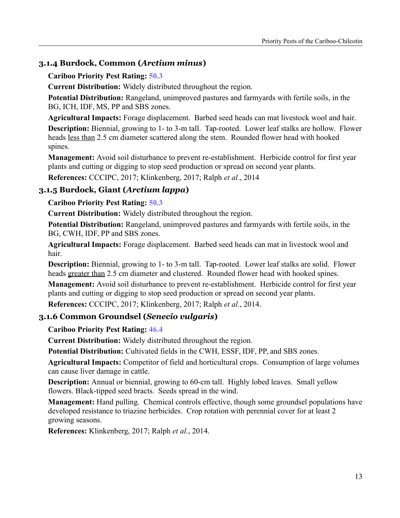# **3.1.4 Burdock, Common (***Arctium minus***)**

#### **Cariboo Priority Pest Rating: 50.3**

**Current Distribution:** Widely distributed throughout the region.

**Potential Distribution:** Rangeland, unimproved pastures and farmyards with fertile soils, in the BG, ICH, IDF, MS, PP and SBS zones.

**Agricultural Impacts:** Forage displacement. Barbed seed heads can mat livestock wool and hair.

**Description:** Biennial, growing to 1- to 3-m tall. Tap-rooted. Lower leaf stalks are hollow. Flower heads less than 2.5 cm diameter scattered along the stem. Rounded flower head with hooked spines.

**Management:** Avoid soil disturbance to prevent re-establishment. Herbicide control for first year plants and cutting or digging to stop seed production or spread on second year plants.

**References:** CCCIPC, 2017; Klinkenberg, 2017; Ralph *et al*., 2014

# **3.1.5 Burdock, Giant (***Arctium lappa***)**

**Cariboo Priority Pest Rating: 50.3**

**Current Distribution:** Widely distributed throughout the region.

**Potential Distribution:** Rangeland, unimproved pastures and farmyards with fertile soils, in the BG, CWH, IDF, PP and SBS zones.

**Agricultural Impacts:** Forage displacement. Barbed seed heads can mat in livestock wool and hair.

**Description:** Biennial, growing to 1- to 3-m tall. Tap-rooted. Lower leaf stalks are solid. Flower heads greater than 2.5 cm diameter and clustered. Rounded flower head with hooked spines.

**Management:** Avoid soil disturbance to prevent re-establishment. Herbicide control for first year plants and cutting or digging to stop seed production or spread on second year plants.

**References:** CCCIPC, 2017; Klinkenberg, 2017; Ralph *et al.*, 2014.

# **3.1.6 Common Groundsel (***Senecio vulgaris***)**

**Cariboo Priority Pest Rating: 46.4**

**Current Distribution:** Widely distributed throughout the region.

**Potential Distribution:** Cultivated fields in the CWH, ESSF, IDF, PP, and SBS zones.

**Agricultural Impacts:** Competitor of field and horticultural crops. Consumption of large volumes can cause liver damage in cattle.

**Description:** Annual or biennial, growing to 60-cm tall. Highly lobed leaves. Small yellow flowers. Black-tipped seed bracts. Seeds spread in the wind.

**Management:** Hand pulling. Chemical controls effective, though some groundsel populations have developed resistance to triazine herbicides. Crop rotation with perennial cover for at least 2 growing seasons.

**References:** Klinkenberg, 2017; Ralph *et al*., 2014.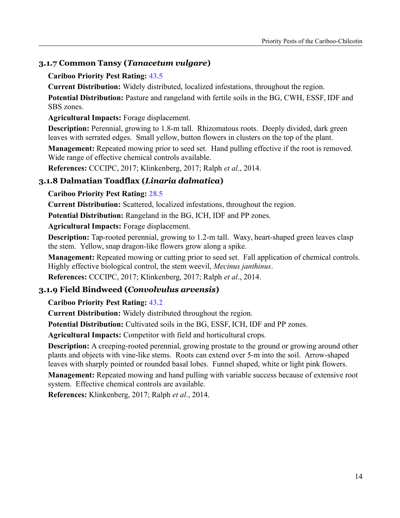# **3.1.7 Common Tansy (***Tanacetum vulgare***)**

#### **Cariboo Priority Pest Rating: 43.5**

**Current Distribution:** Widely distributed, localized infestations, throughout the region.

**Potential Distribution:** Pasture and rangeland with fertile soils in the BG, CWH, ESSF, IDF and SBS zones.

**Agricultural Impacts:** Forage displacement.

**Description:** Perennial, growing to 1.8-m tall. Rhizomatous roots. Deeply divided, dark green leaves with serrated edges. Small yellow, button flowers in clusters on the top of the plant.

**Management:** Repeated mowing prior to seed set. Hand pulling effective if the root is removed. Wide range of effective chemical controls available.

**References:** CCCIPC, 2017; Klinkenberg, 2017; Ralph *et al*., 2014.

# **3.1.8 Dalmatian Toadflax (***Linaria dalmatica***)**

#### **Cariboo Priority Pest Rating: 28.5**

**Current Distribution:** Scattered, localized infestations, throughout the region.

**Potential Distribution:** Rangeland in the BG, ICH, IDF and PP zones.

**Agricultural Impacts:** Forage displacement.

**Description:** Tap-rooted perennial, growing to 1.2-m tall. Waxy, heart-shaped green leaves clasp the stem. Yellow, snap dragon-like flowers grow along a spike.

**Management:** Repeated mowing or cutting prior to seed set. Fall application of chemical controls. Highly effective biological control, the stem weevil, *Mecinus janthinus*.

**References:** CCCIPC, 2017; Klinkenberg, 2017; Ralph *et al*., 2014.

# **3.1.9 Field Bindweed (***Convolvulus arvensis***)**

# **Cariboo Priority Pest Rating: 43.2**

**Current Distribution:** Widely distributed throughout the region.

**Potential Distribution:** Cultivated soils in the BG, ESSF, ICH, IDF and PP zones.

**Agricultural Impacts:** Competitor with field and horticultural crops.

**Description:** A creeping-rooted perennial, growing prostate to the ground or growing around other plants and objects with vine-like stems. Roots can extend over 5-m into the soil. Arrow-shaped leaves with sharply pointed or rounded basal lobes. Funnel shaped, white or light pink flowers.

**Management:** Repeated mowing and hand pulling with variable success because of extensive root system. Effective chemical controls are available.

**References:** Klinkenberg, 2017; Ralph *et al*., 2014.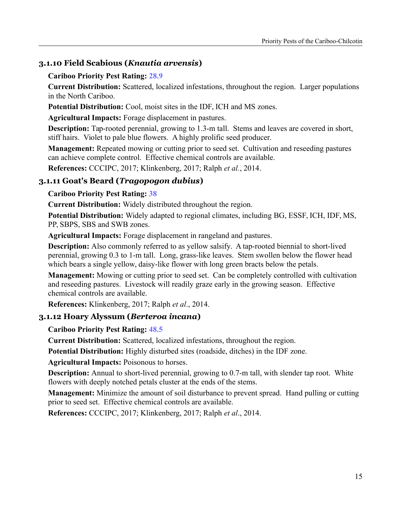# **3.1.10 Field Scabious (***Knautia arvensis***)**

#### **Cariboo Priority Pest Rating: 28.9**

**Current Distribution:** Scattered, localized infestations, throughout the region. Larger populations in the North Cariboo.

**Potential Distribution:** Cool, moist sites in the IDF, ICH and MS zones.

**Agricultural Impacts:** Forage displacement in pastures.

**Description:** Tap-rooted perennial, growing to 1.3-m tall. Stems and leaves are covered in short, stiff hairs. Violet to pale blue flowers. A highly prolific seed producer.

**Management:** Repeated mowing or cutting prior to seed set. Cultivation and reseeding pastures can achieve complete control. Effective chemical controls are available.

**References:** CCCIPC, 2017; Klinkenberg, 2017; Ralph *et al.*, 2014.

# **3.1.11 Goat's Beard (***Tragopogon dubius***)**

# **Cariboo Priority Pest Rating: 38**

**Current Distribution:** Widely distributed throughout the region.

**Potential Distribution:** Widely adapted to regional climates, including BG, ESSF, ICH, IDF, MS, PP, SBPS, SBS and SWB zones.

**Agricultural Impacts:** Forage displacement in rangeland and pastures.

**Description:** Also commonly referred to as yellow salsify. A tap-rooted biennial to short-lived perennial, growing 0.3 to 1-m tall. Long, grass-like leaves. Stem swollen below the flower head which bears a single yellow, daisy-like flower with long green bracts below the petals.

**Management:** Mowing or cutting prior to seed set. Can be completely controlled with cultivation and reseeding pastures. Livestock will readily graze early in the growing season. Effective chemical controls are available.

**References:** Klinkenberg, 2017; Ralph *et al*., 2014.

# **3.1.12 Hoary Alyssum (***Berteroa incana***)**

**Cariboo Priority Pest Rating: 48.5**

**Current Distribution:** Scattered, localized infestations, throughout the region.

**Potential Distribution:** Highly disturbed sites (roadside, ditches) in the IDF zone.

**Agricultural Impacts:** Poisonous to horses.

**Description:** Annual to short-lived perennial, growing to 0.7-m tall, with slender tap root. White flowers with deeply notched petals cluster at the ends of the stems.

**Management:** Minimize the amount of soil disturbance to prevent spread. Hand pulling or cutting prior to seed set. Effective chemical controls are available.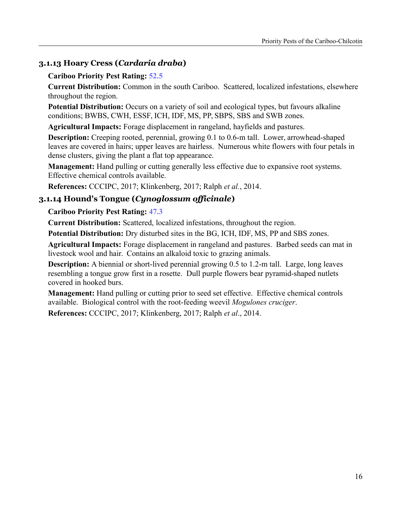# **3.1.13 Hoary Cress (***Cardaria draba***)**

#### **Cariboo Priority Pest Rating: 52.5**

**Current Distribution:** Common in the south Cariboo. Scattered, localized infestations, elsewhere throughout the region.

**Potential Distribution:** Occurs on a variety of soil and ecological types, but favours alkaline conditions; BWBS, CWH, ESSF, ICH, IDF, MS, PP, SBPS, SBS and SWB zones.

**Agricultural Impacts:** Forage displacement in rangeland, hayfields and pastures.

**Description:** Creeping rooted, perennial, growing 0.1 to 0.6-m tall. Lower, arrowhead-shaped leaves are covered in hairs; upper leaves are hairless. Numerous white flowers with four petals in dense clusters, giving the plant a flat top appearance.

**Management:** Hand pulling or cutting generally less effective due to expansive root systems. Effective chemical controls available.

**References:** CCCIPC, 2017; Klinkenberg, 2017; Ralph *et al.*, 2014.

# **3.1.14 Hound's Tongue (***Cynoglossum officinale***)**

#### **Cariboo Priority Pest Rating: 47.3**

**Current Distribution:** Scattered, localized infestations, throughout the region.

**Potential Distribution:** Dry disturbed sites in the BG, ICH, IDF, MS, PP and SBS zones.

**Agricultural Impacts:** Forage displacement in rangeland and pastures. Barbed seeds can mat in livestock wool and hair. Contains an alkaloid toxic to grazing animals.

**Description:** A biennial or short-lived perennial growing 0.5 to 1.2-m tall. Large, long leaves resembling a tongue grow first in a rosette. Dull purple flowers bear pyramid-shaped nutlets covered in hooked burs.

**Management:** Hand pulling or cutting prior to seed set effective. Effective chemical controls available. Biological control with the root-feeding weevil *Mogulones cruciger*.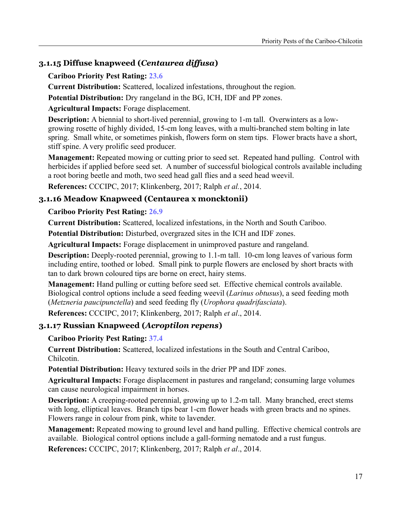# **3.1.15 Diffuse knapweed (***Centaurea diffusa***)**

#### **Cariboo Priority Pest Rating: 23.6**

**Current Distribution:** Scattered, localized infestations, throughout the region.

**Potential Distribution:** Dry rangeland in the BG, ICH, IDF and PP zones.

**Agricultural Impacts:** Forage displacement.

**Description:** A biennial to short-lived perennial, growing to 1-m tall. Overwinters as a lowgrowing rosette of highly divided, 15-cm long leaves, with a multi-branched stem bolting in late spring. Small white, or sometimes pinkish, flowers form on stem tips. Flower bracts have a short, stiff spine. A very prolific seed producer.

**Management:** Repeated mowing or cutting prior to seed set. Repeated hand pulling. Control with herbicides if applied before seed set. A number of successful biological controls available including a root boring beetle and moth, two seed head gall flies and a seed head weevil.

**References:** CCCIPC, 2017; Klinkenberg, 2017; Ralph *et al.*, 2014.

# **3.1.16 Meadow Knapweed (Centaurea x moncktonii)**

# **Cariboo Priority Pest Rating: 26.9**

**Current Distribution:** Scattered, localized infestations, in the North and South Cariboo.

**Potential Distribution:** Disturbed, overgrazed sites in the ICH and IDF zones.

**Agricultural Impacts:** Forage displacement in unimproved pasture and rangeland.

**Description:** Deeply-rooted perennial, growing to 1.1-m tall. 10-cm long leaves of various form including entire, toothed or lobed. Small pink to purple flowers are enclosed by short bracts with tan to dark brown coloured tips are borne on erect, hairy stems.

**Management:** Hand pulling or cutting before seed set. Effective chemical controls available. Biological control options include a seed feeding weevil (*Larinus obtusus*), a seed feeding moth (*Metzneria paucipunctella*) and seed feeding fly (*Urophora quadrifasciata*).

**References:** CCCIPC, 2017; Klinkenberg, 2017; Ralph *et al*., 2014.

# **3.1.17 Russian Knapweed (***Acroptilon repens***)**

**Cariboo Priority Pest Rating: 37.4**

**Current Distribution:** Scattered, localized infestations in the South and Central Cariboo, Chilcotin.

**Potential Distribution:** Heavy textured soils in the drier PP and IDF zones.

**Agricultural Impacts:** Forage displacement in pastures and rangeland; consuming large volumes can cause neurological impairment in horses.

**Description:** A creeping-rooted perennial, growing up to 1.2-m tall. Many branched, erect stems with long, elliptical leaves. Branch tips bear 1-cm flower heads with green bracts and no spines. Flowers range in colour from pink, white to lavender.

**Management:** Repeated mowing to ground level and hand pulling. Effective chemical controls are available. Biological control options include a gall-forming nematode and a rust fungus.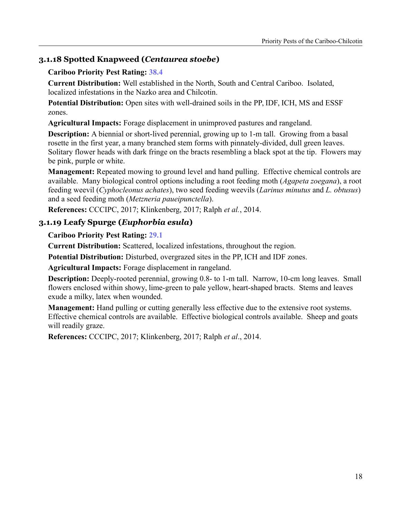# **3.1.18 Spotted Knapweed (***Centaurea stoebe***)**

#### **Cariboo Priority Pest Rating: 38.4**

**Current Distribution:** Well established in the North, South and Central Cariboo. Isolated, localized infestations in the Nazko area and Chilcotin.

**Potential Distribution:** Open sites with well-drained soils in the PP, IDF, ICH, MS and ESSF zones.

**Agricultural Impacts:** Forage displacement in unimproved pastures and rangeland.

**Description:** A biennial or short-lived perennial, growing up to 1-m tall. Growing from a basal rosette in the first year, a many branched stem forms with pinnately-divided, dull green leaves. Solitary flower heads with dark fringe on the bracts resembling a black spot at the tip. Flowers may be pink, purple or white.

**Management:** Repeated mowing to ground level and hand pulling. Effective chemical controls are available. Many biological control options including a root feeding moth (*Agapeta zoegana*), a root feeding weevil (*Cyphocleonus achates*), two seed feeding weevils (*Larinus minutus* and *L. obtusus*) and a seed feeding moth (*Metzneria paueipunctella*).

**References:** CCCIPC, 2017; Klinkenberg, 2017; Ralph *et al.*, 2014.

# **3.1.19 Leafy Spurge (***Euphorbia esula***)**

#### **Cariboo Priority Pest Rating: 29.1**

**Current Distribution:** Scattered, localized infestations, throughout the region.

**Potential Distribution:** Disturbed, overgrazed sites in the PP, ICH and IDF zones.

**Agricultural Impacts:** Forage displacement in rangeland.

**Description:** Deeply-rooted perennial, growing 0.8- to 1-m tall. Narrow, 10-cm long leaves. Small flowers enclosed within showy, lime-green to pale yellow, heart-shaped bracts. Stems and leaves exude a milky, latex when wounded.

**Management:** Hand pulling or cutting generally less effective due to the extensive root systems. Effective chemical controls are available. Effective biological controls available. Sheep and goats will readily graze.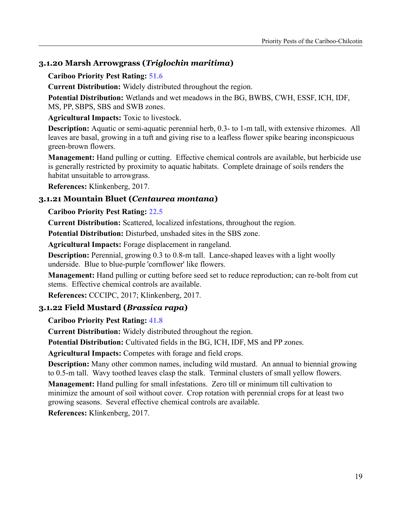# **3.1.20 Marsh Arrowgrass (***Triglochin maritima***)**

#### **Cariboo Priority Pest Rating: 51.6**

**Current Distribution:** Widely distributed throughout the region.

**Potential Distribution:** Wetlands and wet meadows in the BG, BWBS, CWH, ESSF, ICH, IDF, MS, PP, SBPS, SBS and SWB zones.

**Agricultural Impacts:** Toxic to livestock.

**Description:** Aquatic or semi-aquatic perennial herb, 0.3- to 1-m tall, with extensive rhizomes. All leaves are basal, growing in a tuft and giving rise to a leafless flower spike bearing inconspicuous green-brown flowers.

**Management:** Hand pulling or cutting. Effective chemical controls are available, but herbicide use is generally restricted by proximity to aquatic habitats. Complete drainage of soils renders the habitat unsuitable to arrowgrass.

**References:** Klinkenberg, 2017.

# **3.1.21 Mountain Bluet (***Centaurea montana***)**

#### **Cariboo Priority Pest Rating: 22.5**

**Current Distribution:** Scattered, localized infestations, throughout the region.

**Potential Distribution:** Disturbed, unshaded sites in the SBS zone.

**Agricultural Impacts:** Forage displacement in rangeland.

**Description:** Perennial, growing 0.3 to 0.8-m tall. Lance-shaped leaves with a light woolly underside. Blue to blue-purple 'cornflower' like flowers.

**Management:** Hand pulling or cutting before seed set to reduce reproduction; can re-bolt from cut stems. Effective chemical controls are available.

**References:** CCCIPC, 2017; Klinkenberg, 2017.

# **3.1.22 Field Mustard (***Brassica rapa***)**

# **Cariboo Priority Pest Rating: 41.8**

**Current Distribution:** Widely distributed throughout the region.

**Potential Distribution:** Cultivated fields in the BG, ICH, IDF, MS and PP zones.

**Agricultural Impacts:** Competes with forage and field crops.

**Description:** Many other common names, including wild mustard. An annual to biennial growing to 0.5-m tall. Wavy toothed leaves clasp the stalk. Terminal clusters of small yellow flowers.

**Management:** Hand pulling for small infestations. Zero till or minimum till cultivation to minimize the amount of soil without cover. Crop rotation with perennial crops for at least two growing seasons. Several effective chemical controls are available.

**References:** Klinkenberg, 2017.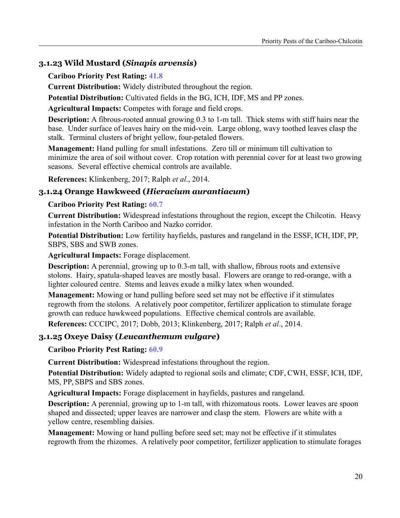# **3.1.23 Wild Mustard (***Sinapis arvensis***)**

#### **Cariboo Priority Pest Rating: 41.8**

**Current Distribution:** Widely distributed throughout the region.

**Potential Distribution:** Cultivated fields in the BG, ICH, IDF, MS and PP zones.

**Agricultural Impacts:** Competes with forage and field crops.

**Description:** A fibrous-rooted annual growing 0.3 to 1-m tall. Thick stems with stiff hairs near the base. Under surface of leaves hairy on the mid-vein. Large oblong, wavy toothed leaves clasp the stalk. Terminal clusters of bright yellow, four-petaled flowers.

**Management:** Hand pulling for small infestations. Zero till or minimum till cultivation to minimize the area of soil without cover. Crop rotation with perennial cover for at least two growing seasons. Several effective chemical controls are available.

**References:** Klinkenberg, 2017; Ralph *et al*., 2014.

# **3.1.24 Orange Hawkweed (***Hieracium aurantiacum***)**

#### **Cariboo Priority Pest Rating: 60.7**

**Current Distribution:** Widespread infestations throughout the region, except the Chilcotin. Heavy infestation in the North Cariboo and Nazko corridor.

**Potential Distribution:** Low fertility hayfields, pastures and rangeland in the ESSF, ICH, IDF, PP, SBPS, SBS and SWB zones.

**Agricultural Impacts:** Forage displacement.

**Description:** A perennial, growing up to 0.3-m tall, with shallow, fibrous roots and extensive stolons. Hairy, spatula-shaped leaves are mostly basal. Flowers are orange to red-orange, with a lighter coloured centre. Stems and leaves exude a milky latex when wounded.

**Management:** Mowing or hand pulling before seed set may not be effective if it stimulates regrowth from the stolons. A relatively poor competitor, fertilizer application to stimulate forage growth can reduce hawkweed populations. Effective chemical controls are available.

**References:** CCCIPC, 2017; Dobb, 2013; Klinkenberg, 2017; Ralph *et al*., 2014.

# **3.1.25 Oxeye Daisy (***Leucanthemum vulgare***)**

**Cariboo Priority Pest Rating: 60.9**

**Current Distribution:** Widespread infestations throughout the region.

**Potential Distribution:** Widely adapted to regional soils and climate; CDF, CWH, ESSF, ICH, IDF, MS, PP, SBPS and SBS zones.

**Agricultural Impacts:** Forage displacement in hayfields, pastures and rangeland.

**Description:** A perennial, growing up to 1-m tall, with rhizomatous roots. Lower leaves are spoon shaped and dissected; upper leaves are narrower and clasp the stem. Flowers are white with a yellow centre, resembling daisies.

**Management:** Mowing or hand pulling before seed set; may not be effective if it stimulates regrowth from the rhizomes. A relatively poor competitor, fertilizer application to stimulate forages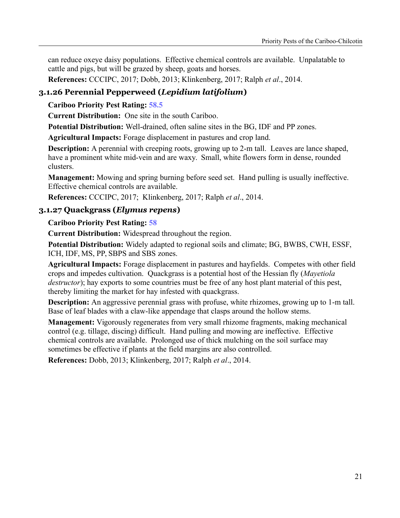can reduce oxeye daisy populations. Effective chemical controls are available. Unpalatable to cattle and pigs, but will be grazed by sheep, goats and horses.

**References:** CCCIPC, 2017; Dobb, 2013; Klinkenberg, 2017; Ralph *et al*., 2014.

# **3.1.26 Perennial Pepperweed (***Lepidium latifolium***)**

#### **Cariboo Priority Pest Rating: 58.5**

**Current Distribution:** One site in the south Cariboo.

**Potential Distribution:** Well-drained, often saline sites in the BG, IDF and PP zones.

**Agricultural Impacts:** Forage displacement in pastures and crop land.

**Description:** A perennial with creeping roots, growing up to 2-m tall. Leaves are lance shaped, have a prominent white mid-vein and are waxy. Small, white flowers form in dense, rounded clusters.

**Management:** Mowing and spring burning before seed set. Hand pulling is usually ineffective. Effective chemical controls are available.

**References:** CCCIPC, 2017; Klinkenberg, 2017; Ralph *et al*., 2014.

# **3.1.27 Quackgrass (***Elymus repens***)**

#### **Cariboo Priority Pest Rating: 58**

**Current Distribution:** Widespread throughout the region.

**Potential Distribution:** Widely adapted to regional soils and climate; BG, BWBS, CWH, ESSF, ICH, IDF, MS, PP, SBPS and SBS zones.

**Agricultural Impacts:** Forage displacement in pastures and hayfields. Competes with other field crops and impedes cultivation. Quackgrass is a potential host of the Hessian fly (*Mayetiola destructor*); hay exports to some countries must be free of any host plant material of this pest, thereby limiting the market for hay infested with quackgrass.

**Description:** An aggressive perennial grass with profuse, white rhizomes, growing up to 1-m tall. Base of leaf blades with a claw-like appendage that clasps around the hollow stems.

**Management:** Vigorously regenerates from very small rhizome fragments, making mechanical control (e.g. tillage, discing) difficult. Hand pulling and mowing are ineffective. Effective chemical controls are available. Prolonged use of thick mulching on the soil surface may sometimes be effective if plants at the field margins are also controlled.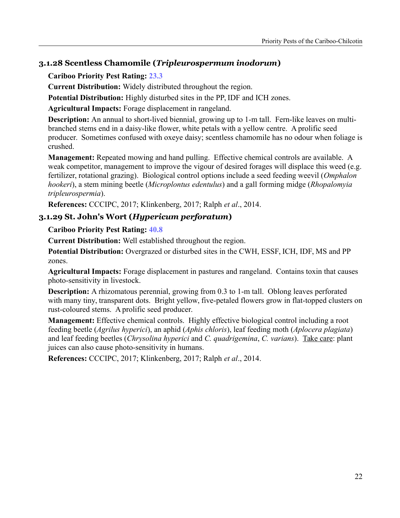# **3.1.28 Scentless Chamomile (***Tripleurospermum inodorum***)**

# **Cariboo Priority Pest Rating: 23.3**

**Current Distribution:** Widely distributed throughout the region.

**Potential Distribution:** Highly disturbed sites in the PP, IDF and ICH zones.

**Agricultural Impacts:** Forage displacement in rangeland.

**Description:** An annual to short-lived biennial, growing up to 1-m tall. Fern-like leaves on multibranched stems end in a daisy-like flower, white petals with a yellow centre. A prolific seed producer. Sometimes confused with oxeye daisy; scentless chamomile has no odour when foliage is crushed.

**Management:** Repeated mowing and hand pulling. Effective chemical controls are available. A weak competitor, management to improve the vigour of desired forages will displace this weed (e.g. fertilizer, rotational grazing). Biological control options include a seed feeding weevil (*Omphalon hookeri*), a stem mining beetle (*Microplontus edentulus*) and a gall forming midge (*Rhopalomyia tripleurospermia*).

**References:** CCCIPC, 2017; Klinkenberg, 2017; Ralph *et al*., 2014.

# **3.1.29 St. John's Wort (***Hypericum perforatum***)**

# **Cariboo Priority Pest Rating: 40.8**

**Current Distribution:** Well established throughout the region.

**Potential Distribution:** Overgrazed or disturbed sites in the CWH, ESSF, ICH, IDF, MS and PP zones.

**Agricultural Impacts:** Forage displacement in pastures and rangeland. Contains toxin that causes photo-sensitivity in livestock.

**Description:** A rhizomatous perennial, growing from 0.3 to 1-m tall. Oblong leaves perforated with many tiny, transparent dots. Bright yellow, five-petaled flowers grow in flat-topped clusters on rust-coloured stems. A prolific seed producer.

**Management:** Effective chemical controls. Highly effective biological control including a root feeding beetle (*Agrilus hyperici*), an aphid (*Aphis chloris*), leaf feeding moth (*Aplocera plagiata*) and leaf feeding beetles (*Chrysolina hyperici* and *C. quadrigemina*, *C. varians*). Take care: plant juices can also cause photo-sensitivity in humans.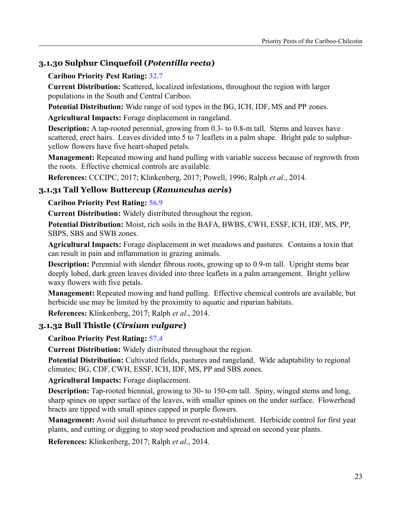# **3.1.30 Sulphur Cinquefoil (***Potentilla recta***)**

#### **Cariboo Priority Pest Rating: 32.7**

**Current Distribution:** Scattered, localized infestations, throughout the region with larger populations in the South and Central Cariboo.

**Potential Distribution:** Wide range of soil types in the BG, ICH, IDF, MS and PP zones.

**Agricultural Impacts:** Forage displacement in rangeland.

**Description:** A tap-rooted perennial, growing from 0.3- to 0.8-m tall. Stems and leaves have scattered, erect hairs. Leaves divided into 5 to 7 leaflets in a palm shape. Bright pale to sulphuryellow flowers have five heart-shaped petals.

**Management:** Repeated mowing and hand pulling with variable success because of regrowth from the roots. Effective chemical controls are available.

**References:** CCCIPC, 2017; Klinkenberg, 2017; Powell, 1996; Ralph *et al*., 2014.

# **3.1.31 Tall Yellow Buttercup (***Ranunculus acris***)**

# **Cariboo Priority Pest Rating: 56.9**

**Current Distribution:** Widely distributed throughout the region.

**Potential Distribution:** Moist, rich soils in the BAFA, BWBS, CWH, ESSF, ICH, IDF, MS, PP, SBPS, SBS and SWB zones.

**Agricultural Impacts:** Forage displacement in wet meadows and pastures. Contains a toxin that can result in pain and inflammation in grazing animals.

**Description:** Perennial with slender fibrous roots, growing up to 0.9-m tall. Upright stems bear deeply lobed, dark green leaves divided into three leaflets in a palm arrangement. Bright yellow waxy flowers with five petals.

**Management:** Repeated mowing and hand pulling. Effective chemical controls are available, but herbicide use may be limited by the proximity to aquatic and riparian habitats.

**References:** Klinkenberg, 2017; Ralph *et al*., 2014.

# **3.1.32 Bull Thistle (***Cirsium vulgare***)**

# **Cariboo Priority Pest Rating: 57.4**

**Current Distribution:** Widely distributed throughout the region.

**Potential Distribution:** Cultivated fields, pastures and rangeland. Wide adaptability to regional climates; BG, CDF, CWH, ESSF, ICH, IDF, MS, PP and SBS zones.

**Agricultural Impacts:** Forage displacement.

**Description:** Tap-rooted biennial, growing to 30- to 150-cm tall. Spiny, winged stems and long, sharp spines on upper surface of the leaves, with smaller spines on the under surface. Flowerhead bracts are tipped with small spines capped in purple flowers.

**Management:** Avoid soil disturbance to prevent re-establishment. Herbicide control for first year plants, and cutting or digging to stop seed production and spread on second year plants.

**References:** Klinkenberg, 2017; Ralph *et al*., 2014.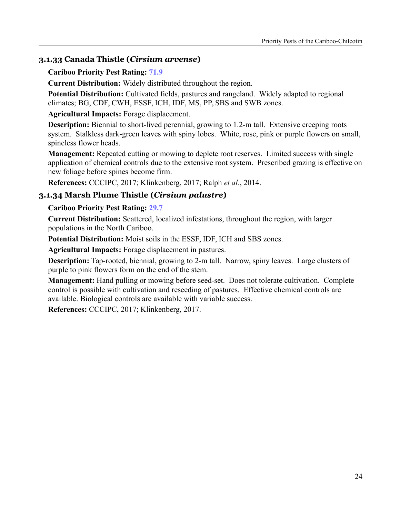# **3.1.33 Canada Thistle (***Cirsium arvense***)**

**Cariboo Priority Pest Rating: 71.9**

**Current Distribution:** Widely distributed throughout the region.

**Potential Distribution:** Cultivated fields, pastures and rangeland. Widely adapted to regional climates; BG, CDF, CWH, ESSF, ICH, IDF, MS, PP, SBS and SWB zones.

**Agricultural Impacts:** Forage displacement.

**Description:** Biennial to short-lived perennial, growing to 1.2-m tall. Extensive creeping roots system. Stalkless dark-green leaves with spiny lobes. White, rose, pink or purple flowers on small, spineless flower heads.

**Management:** Repeated cutting or mowing to deplete root reserves. Limited success with single application of chemical controls due to the extensive root system. Prescribed grazing is effective on new foliage before spines become firm.

**References:** CCCIPC, 2017; Klinkenberg, 2017; Ralph *et al*., 2014.

#### **3.1.34 Marsh Plume Thistle (***Cirsium palustre***)**

#### **Cariboo Priority Pest Rating: 29.7**

**Current Distribution:** Scattered, localized infestations, throughout the region, with larger populations in the North Cariboo.

**Potential Distribution:** Moist soils in the ESSF, IDF, ICH and SBS zones.

**Agricultural Impacts:** Forage displacement in pastures.

**Description:** Tap-rooted, biennial, growing to 2-m tall. Narrow, spiny leaves. Large clusters of purple to pink flowers form on the end of the stem.

**Management:** Hand pulling or mowing before seed-set. Does not tolerate cultivation. Complete control is possible with cultivation and reseeding of pastures. Effective chemical controls are available. Biological controls are available with variable success.

**References:** CCCIPC, 2017; Klinkenberg, 2017.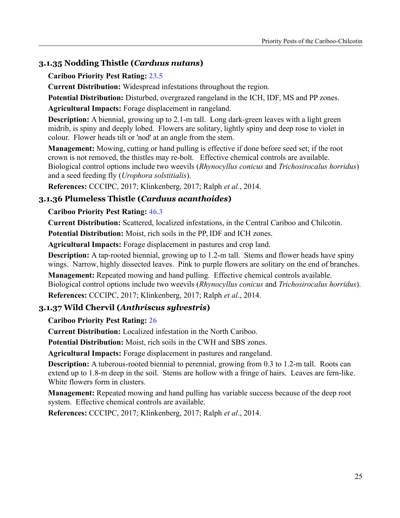# **3.1.35 Nodding Thistle (***Carduus nutans***)**

#### **Cariboo Priority Pest Rating: 23.5**

**Current Distribution:** Widespread infestations throughout the region.

**Potential Distribution:** Disturbed, overgrazed rangeland in the ICH, IDF, MS and PP zones.

**Agricultural Impacts:** Forage displacement in rangeland.

**Description:** A biennial, growing up to 2.1-m tall. Long dark-green leaves with a light green midrib, is spiny and deeply lobed. Flowers are solitary, lightly spiny and deep rose to violet in colour. Flower heads tilt or 'nod' at an angle from the stem.

**Management:** Mowing, cutting or hand pulling is effective if done before seed set; if the root crown is not removed, the thistles may re-bolt. Effective chemical controls are available. Biological control options include two weevils (*Rhynocyllus conicus* and *Trichosirocalus horridus*) and a seed feeding fly (*Urophora solstitialis*).

**References:** CCCIPC, 2017; Klinkenberg, 2017; Ralph *et al.*, 2014.

# **3.1.36 Plumeless Thistle (***Carduus acanthoides***)**

# **Cariboo Priority Pest Rating: 46.3**

**Current Distribution:** Scattered, localized infestations, in the Central Cariboo and Chilcotin.

**Potential Distribution:** Moist, rich soils in the PP, IDF and ICH zones.

**Agricultural Impacts:** Forage displacement in pastures and crop land.

**Description:** A tap-rooted biennial, growing up to 1.2-m tall. Stems and flower heads have spiny wings. Narrow, highly dissected leaves. Pink to purple flowers are solitary on the end of branches.

**Management:** Repeated mowing and hand pulling. Effective chemical controls available. Biological control options include two weevils (*Rhynocyllus conicus* and *Trichosirocalus horridus*).

**References:** CCCIPC, 2017; Klinkenberg, 2017; Ralph *et al*., 2014.

# **3.1.37 Wild Chervil (***Anthriscus sylvestris***)**

# **Cariboo Priority Pest Rating: 26**

**Current Distribution:** Localized infestation in the North Cariboo.

**Potential Distribution:** Moist, rich soils in the CWH and SBS zones.

**Agricultural Impacts:** Forage displacement in pastures and rangeland.

**Description:** A tuberous-rooted biennial to perennial, growing from 0.3 to 1.2-m tall. Roots can extend up to 1.8-m deep in the soil. Stems are hollow with a fringe of hairs. Leaves are fern-like. White flowers form in clusters.

**Management:** Repeated mowing and hand pulling has variable success because of the deep root system. Effective chemical controls are available.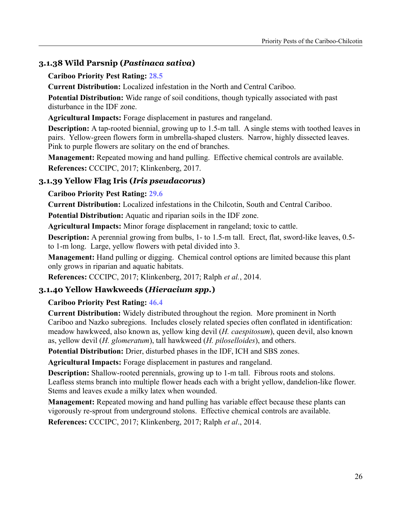# **3.1.38 Wild Parsnip (***Pastinaca sativa***)**

#### **Cariboo Priority Pest Rating: 28.5**

**Current Distribution:** Localized infestation in the North and Central Cariboo.

**Potential Distribution:** Wide range of soil conditions, though typically associated with past disturbance in the IDF zone.

**Agricultural Impacts:** Forage displacement in pastures and rangeland.

**Description:** A tap-rooted biennial, growing up to 1.5-m tall. A single stems with toothed leaves in pairs. Yellow-green flowers form in umbrella-shaped clusters. Narrow, highly dissected leaves. Pink to purple flowers are solitary on the end of branches.

**Management:** Repeated mowing and hand pulling. Effective chemical controls are available. **References:** CCCIPC, 2017; Klinkenberg, 2017.

# **3.1.39 Yellow Flag Iris (***Iris pseudacorus***)**

#### **Cariboo Priority Pest Rating: 29.6**

**Current Distribution:** Localized infestations in the Chilcotin, South and Central Cariboo.

**Potential Distribution:** Aquatic and riparian soils in the IDF zone.

**Agricultural Impacts:** Minor forage displacement in rangeland; toxic to cattle.

**Description:** A perennial growing from bulbs, 1- to 1.5-m tall. Erect, flat, sword-like leaves, 0.5to 1-m long. Large, yellow flowers with petal divided into 3.

**Management:** Hand pulling or digging. Chemical control options are limited because this plant only grows in riparian and aquatic habitats.

**References:** CCCIPC, 2017; Klinkenberg, 2017; Ralph *et al.*, 2014.

# **3.1.40 Yellow Hawkweeds (***Hieracium spp.***)**

# **Cariboo Priority Pest Rating: 46.4**

**Current Distribution:** Widely distributed throughout the region. More prominent in North Cariboo and Nazko subregions. Includes closely related species often conflated in identification: meadow hawkweed, also known as, yellow king devil (*H. caespitosum*), queen devil, also known as, yellow devil (*H. glomeratum*), tall hawkweed (*H. piloselloides*), and others.

**Potential Distribution:** Drier, disturbed phases in the IDF, ICH and SBS zones.

**Agricultural Impacts:** Forage displacement in pastures and rangeland.

**Description:** Shallow-rooted perennials, growing up to 1-m tall. Fibrous roots and stolons. Leafless stems branch into multiple flower heads each with a bright yellow, dandelion-like flower. Stems and leaves exude a milky latex when wounded.

**Management:** Repeated mowing and hand pulling has variable effect because these plants can vigorously re-sprout from underground stolons. Effective chemical controls are available.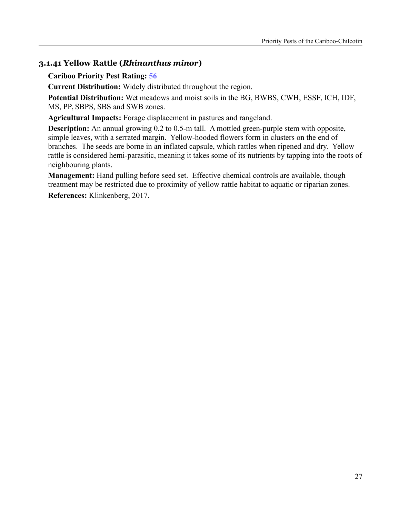# **3.1.41 Yellow Rattle (***Rhinanthus minor***)**

#### **Cariboo Priority Pest Rating: 56**

**Current Distribution:** Widely distributed throughout the region.

**Potential Distribution:** Wet meadows and moist soils in the BG, BWBS, CWH, ESSF, ICH, IDF, MS, PP, SBPS, SBS and SWB zones.

**Agricultural Impacts:** Forage displacement in pastures and rangeland.

**Description:** An annual growing 0.2 to 0.5-m tall. A mottled green-purple stem with opposite, simple leaves, with a serrated margin. Yellow-hooded flowers form in clusters on the end of branches. The seeds are borne in an inflated capsule, which rattles when ripened and dry. Yellow rattle is considered hemi-parasitic, meaning it takes some of its nutrients by tapping into the roots of neighbouring plants.

**Management:** Hand pulling before seed set. Effective chemical controls are available, though treatment may be restricted due to proximity of yellow rattle habitat to aquatic or riparian zones.

**References:** Klinkenberg, 2017.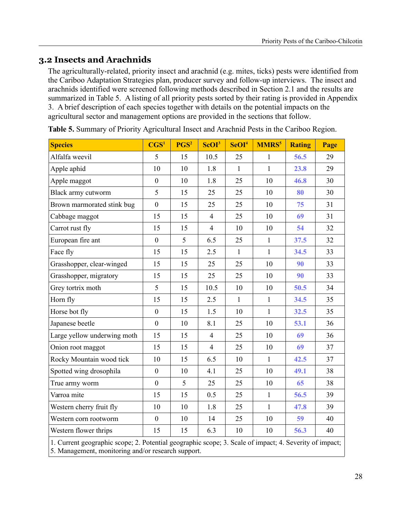# **3.2 Insects and Arachnids**

The agriculturally-related, priority insect and arachnid (e.g. mites, ticks) pests were identified from the Cariboo Adaptation Strategies plan, producer survey and follow-up interviews. The insect and arachnids identified were screened following methods described in Section 2.1 and the results are summarized in Table 5. A listing of all priority pests sorted by their rating is provided in Appendix 3. A brief description of each species together with details on the potential impacts on the agricultural sector and management options are provided in the sections that follow.

| <b>Species</b>                                                                                                                                               | $\text{CGS}^1$   | PGS <sup>2</sup> | ScOI <sup>3</sup> | SeOI <sup>4</sup> | <b>MMRS</b> <sup>5</sup> | <b>Rating</b> | Page |  |
|--------------------------------------------------------------------------------------------------------------------------------------------------------------|------------------|------------------|-------------------|-------------------|--------------------------|---------------|------|--|
| Alfalfa weevil                                                                                                                                               | 5                | 15               | 10.5              | 25                | $\mathbf{1}$             | 56.5          | 29   |  |
| Apple aphid                                                                                                                                                  | 10               | 10               | 1.8               | 1                 | $\mathbf{1}$             | 23.8          | 29   |  |
| Apple maggot                                                                                                                                                 | $\boldsymbol{0}$ | 10               | 1.8               | 25                | 10                       | 46.8          | 30   |  |
| Black army cutworm                                                                                                                                           | 5                | 15               | 25                | 25                | 10                       | 80            | 30   |  |
| Brown marmorated stink bug                                                                                                                                   | $\mathbf{0}$     | 15               | 25                | 25                | 10                       | 75            | 31   |  |
| Cabbage maggot                                                                                                                                               | 15               | 15               | $\overline{4}$    | 25                | 10                       | 69            | 31   |  |
| Carrot rust fly                                                                                                                                              | 15               | 15               | $\overline{4}$    | 10                | 10                       | 54            | 32   |  |
| European fire ant                                                                                                                                            | $\mathbf{0}$     | 5                | 6.5               | 25                | $\mathbf{1}$             | 37.5          | 32   |  |
| Face fly                                                                                                                                                     | 15               | 15               | 2.5               | $\mathbf{1}$      | $\mathbf{1}$             | 34.5          | 33   |  |
| Grasshopper, clear-winged                                                                                                                                    | 15               | 15               | 25                | 25                | 10                       | 90            | 33   |  |
| Grasshopper, migratory                                                                                                                                       | 15               | 15               | 25                | 25                | 10                       | 90            | 33   |  |
| Grey tortrix moth                                                                                                                                            | 5                | 15               | 10.5              | 10                | 10                       | 50.5          | 34   |  |
| Horn fly                                                                                                                                                     | 15               | 15               | 2.5               | $\mathbf{1}$      | $\mathbf{1}$             | 34.5          | 35   |  |
| Horse bot fly                                                                                                                                                | $\boldsymbol{0}$ | 15               | 1.5               | 10                | $\mathbf{1}$             | 32.5          | 35   |  |
| Japanese beetle                                                                                                                                              | $\boldsymbol{0}$ | 10               | 8.1               | 25                | 10                       | 53.1          | 36   |  |
| Large yellow underwing moth                                                                                                                                  | 15               | 15               | $\overline{4}$    | 25                | 10                       | 69            | 36   |  |
| Onion root maggot                                                                                                                                            | 15               | 15               | $\overline{4}$    | 25                | 10                       | 69            | 37   |  |
| Rocky Mountain wood tick                                                                                                                                     | 10               | 15               | 6.5               | 10                | $\mathbf{1}$             | 42.5          | 37   |  |
| Spotted wing drosophila                                                                                                                                      | $\mathbf{0}$     | 10               | 4.1               | 25                | 10                       | 49.1          | 38   |  |
| True army worm                                                                                                                                               | $\boldsymbol{0}$ | 5                | 25                | 25                | 10                       | 65            | 38   |  |
| Varroa mite                                                                                                                                                  | 15               | 15               | 0.5               | 25                | $\mathbf{1}$             | 56.5          | 39   |  |
| Western cherry fruit fly                                                                                                                                     | 10               | 10               | 1.8               | 25                | $\mathbf{1}$             | 47.8          | 39   |  |
| Western corn rootworm                                                                                                                                        | $\boldsymbol{0}$ | 10               | 14                | 25                | 10                       | 59            | 40   |  |
| Western flower thrips                                                                                                                                        | 15               | 15               | 6.3               | 10                | 10                       | 56.3          | 40   |  |
| 1. Current geographic scope; 2. Potential geographic scope; 3. Scale of impact; 4. Severity of impact;<br>5. Management, monitoring and/or research support. |                  |                  |                   |                   |                          |               |      |  |

**Table 5.** Summary of Priority Agricultural Insect and Arachnid Pests in the Cariboo Region.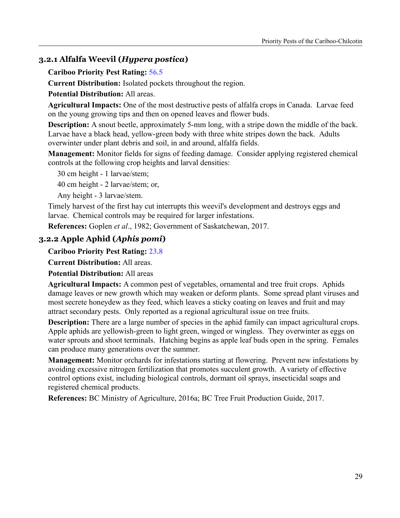# **3.2.1 Alfalfa Weevil (***Hypera postica***)**

**Cariboo Priority Pest Rating: 56.5**

**Current Distribution:** Isolated pockets throughout the region.

**Potential Distribution:** All areas.

**Agricultural Impacts:** One of the most destructive pests of alfalfa crops in Canada. Larvae feed on the young growing tips and then on opened leaves and flower buds.

**Description:** A snout beetle, approximately 5-mm long, with a stripe down the middle of the back. Larvae have a black head, yellow-green body with three white stripes down the back. Adults overwinter under plant debris and soil, in and around, alfalfa fields.

**Management:** Monitor fields for signs of feeding damage. Consider applying registered chemical controls at the following crop heights and larval densities:

30 cm height - 1 larvae/stem;

40 cm height - 2 larvae/stem; or,

Any height - 3 larvae/stem.

Timely harvest of the first hay cut interrupts this weevil's development and destroys eggs and larvae. Chemical controls may be required for larger infestations.

**References:** Goplen *et al*., 1982; Government of Saskatchewan, 2017.

# **3.2.2 Apple Aphid (***Aphis pomi***)**

**Cariboo Priority Pest Rating: 23.8**

**Current Distribution:** All areas.

**Potential Distribution:** All areas

**Agricultural Impacts:** A common pest of vegetables, ornamental and tree fruit crops. Aphids damage leaves or new growth which may weaken or deform plants. Some spread plant viruses and most secrete honeydew as they feed, which leaves a sticky coating on leaves and fruit and may attract secondary pests. Only reported as a regional agricultural issue on tree fruits.

**Description:** There are a large number of species in the aphid family can impact agricultural crops. Apple aphids are yellowish-green to light green, winged or wingless. They overwinter as eggs on water sprouts and shoot terminals. Hatching begins as apple leaf buds open in the spring. Females can produce many generations over the summer.

**Management:** Monitor orchards for infestations starting at flowering. Prevent new infestations by avoiding excessive nitrogen fertilization that promotes succulent growth. A variety of effective control options exist, including biological controls, dormant oil sprays, insecticidal soaps and registered chemical products.

**References:** BC Ministry of Agriculture, 2016a; BC Tree Fruit Production Guide, 2017.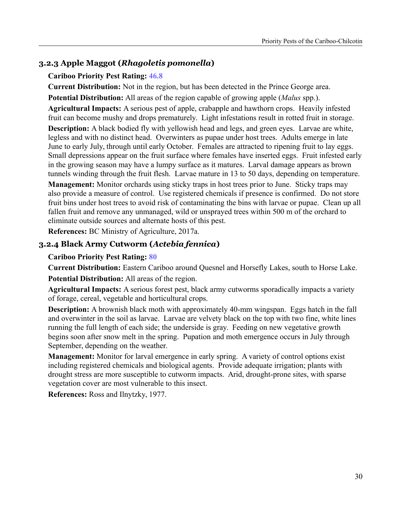# **3.2.3 Apple Maggot (***Rhagoletis pomonella***)**

#### **Cariboo Priority Pest Rating: 46.8**

**Current Distribution:** Not in the region, but has been detected in the Prince George area.

**Potential Distribution:** All areas of the region capable of growing apple (*Malus* spp.).

**Agricultural Impacts:** A serious pest of apple, crabapple and hawthorn crops. Heavily infested fruit can become mushy and drops prematurely. Light infestations result in rotted fruit in storage.

**Description:** A black bodied fly with yellowish head and legs, and green eyes. Larvae are white, legless and with no distinct head. Overwinters as pupae under host trees. Adults emerge in late June to early July, through until early October. Females are attracted to ripening fruit to lay eggs. Small depressions appear on the fruit surface where females have inserted eggs. Fruit infested early in the growing season may have a lumpy surface as it matures. Larval damage appears as brown tunnels winding through the fruit flesh. Larvae mature in 13 to 50 days, depending on temperature.

**Management:** Monitor orchards using sticky traps in host trees prior to June. Sticky traps may also provide a measure of control. Use registered chemicals if presence is confirmed. Do not store fruit bins under host trees to avoid risk of contaminating the bins with larvae or pupae. Clean up all fallen fruit and remove any unmanaged, wild or unsprayed trees within 500 m of the orchard to eliminate outside sources and alternate hosts of this pest.

**References:** BC Ministry of Agriculture, 2017a.

## **3.2.4 Black Army Cutworm (***Actebia fennica***)**

#### **Cariboo Priority Pest Rating: 80**

**Current Distribution:** Eastern Cariboo around Quesnel and Horsefly Lakes, south to Horse Lake. **Potential Distribution:** All areas of the region.

**Agricultural Impacts:** A serious forest pest, black army cutworms sporadically impacts a variety of forage, cereal, vegetable and horticultural crops.

**Description:** A brownish black moth with approximately 40-mm wingspan. Eggs hatch in the fall and overwinter in the soil as larvae. Larvae are velvety black on the top with two fine, white lines running the full length of each side; the underside is gray. Feeding on new vegetative growth begins soon after snow melt in the spring. Pupation and moth emergence occurs in July through September, depending on the weather.

**Management:** Monitor for larval emergence in early spring. A variety of control options exist including registered chemicals and biological agents. Provide adequate irrigation; plants with drought stress are more susceptible to cutworm impacts. Arid, drought-prone sites, with sparse vegetation cover are most vulnerable to this insect.

**References:** Ross and Ilnytzky, 1977.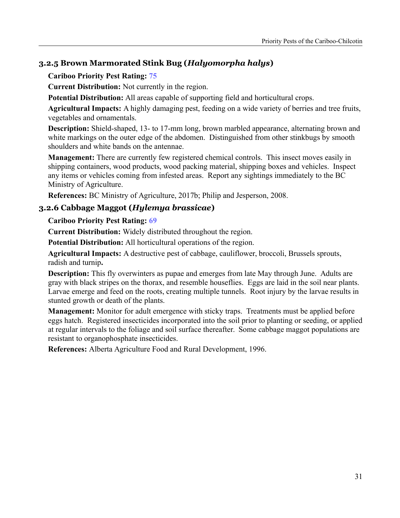# **3.2.5 Brown Marmorated Stink Bug (***Halyomorpha halys***)**

## **Cariboo Priority Pest Rating: 75**

**Current Distribution:** Not currently in the region.

**Potential Distribution:** All areas capable of supporting field and horticultural crops.

**Agricultural Impacts:** A highly damaging pest, feeding on a wide variety of berries and tree fruits, vegetables and ornamentals.

**Description:** Shield-shaped, 13- to 17-mm long, brown marbled appearance, alternating brown and white markings on the outer edge of the abdomen. Distinguished from other stinkbugs by smooth shoulders and white bands on the antennae.

**Management:** There are currently few registered chemical controls. This insect moves easily in shipping containers, wood products, wood packing material, shipping boxes and vehicles. Inspect any items or vehicles coming from infested areas. Report any sightings immediately to the BC Ministry of Agriculture.

**References:** BC Ministry of Agriculture, 2017b; Philip and Jesperson, 2008.

## **3.2.6 Cabbage Maggot (***Hylemya brassicae***)**

#### **Cariboo Priority Pest Rating: 69**

**Current Distribution:** Widely distributed throughout the region.

**Potential Distribution:** All horticultural operations of the region.

**Agricultural Impacts:** A destructive pest of cabbage, cauliflower, broccoli, Brussels sprouts, radish and turnip**.**

**Description:** This fly overwinters as pupae and emerges from late May through June. Adults are gray with black stripes on the thorax, and resemble houseflies. Eggs are laid in the soil near plants. Larvae emerge and feed on the roots, creating multiple tunnels. Root injury by the larvae results in stunted growth or death of the plants.

**Management:** Monitor for adult emergence with sticky traps. Treatments must be applied before eggs hatch. Registered insecticides incorporated into the soil prior to planting or seeding, or applied at regular intervals to the foliage and soil surface thereafter. Some cabbage maggot populations are resistant to organophosphate insecticides.

**References:** Alberta Agriculture Food and Rural Development, 1996.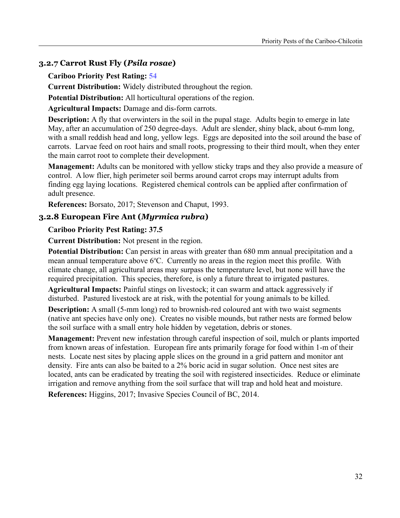## **3.2.7 Carrot Rust Fly (***Psila rosae***)**

#### **Cariboo Priority Pest Rating: 54**

**Current Distribution:** Widely distributed throughout the region.

**Potential Distribution:** All horticultural operations of the region.

**Agricultural Impacts:** Damage and dis-form carrots.

**Description:** A fly that overwinters in the soil in the pupal stage. Adults begin to emerge in late May, after an accumulation of 250 degree-days. Adult are slender, shiny black, about 6-mm long, with a small reddish head and long, yellow legs. Eggs are deposited into the soil around the base of carrots. Larvae feed on root hairs and small roots, progressing to their third moult, when they enter the main carrot root to complete their development.

**Management:** Adults can be monitored with yellow sticky traps and they also provide a measure of control. A low flier, high perimeter soil berms around carrot crops may interrupt adults from finding egg laying locations. Registered chemical controls can be applied after confirmation of adult presence.

**References:** Borsato, 2017; Stevenson and Chaput, 1993.

## **3.2.8 European Fire Ant (***Myrmica rubra***)**

#### **Cariboo Priority Pest Rating: 37.5**

**Current Distribution:** Not present in the region.

**Potential Distribution:** Can persist in areas with greater than 680 mm annual precipitation and a mean annual temperature above  $6^{\circ}$ C. Currently no areas in the region meet this profile. With climate change, all agricultural areas may surpass the temperature level, but none will have the required precipitation. This species, therefore, is only a future threat to irrigated pastures.

**Agricultural Impacts:** Painful stings on livestock; it can swarm and attack aggressively if disturbed. Pastured livestock are at risk, with the potential for young animals to be killed.

**Description:** A small (5-mm long) red to brownish-red coloured ant with two waist segments (native ant species have only one). Creates no visible mounds, but rather nests are formed below the soil surface with a small entry hole hidden by vegetation, debris or stones.

**Management:** Prevent new infestation through careful inspection of soil, mulch or plants imported from known areas of infestation. European fire ants primarily forage for food within 1-m of their nests. Locate nest sites by placing apple slices on the ground in a grid pattern and monitor ant density. Fire ants can also be baited to a 2% boric acid in sugar solution. Once nest sites are located, ants can be eradicated by treating the soil with registered insecticides. Reduce or eliminate irrigation and remove anything from the soil surface that will trap and hold heat and moisture.

**References:** Higgins, 2017; Invasive Species Council of BC, 2014.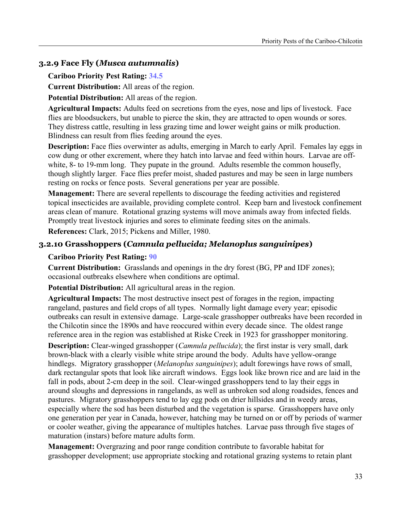## **3.2.9 Face Fly (***Musca autumnalis***)**

#### **Cariboo Priority Pest Rating: 34.5**

**Current Distribution:** All areas of the region.

**Potential Distribution:** All areas of the region.

**Agricultural Impacts:** Adults feed on secretions from the eyes, nose and lips of livestock. Face flies are bloodsuckers, but unable to pierce the skin, they are attracted to open wounds or sores. They distress cattle, resulting in less grazing time and lower weight gains or milk production. Blindness can result from flies feeding around the eyes.

**Description:** Face flies overwinter as adults, emerging in March to early April. Females lay eggs in cow dung or other excrement, where they hatch into larvae and feed within hours. Larvae are offwhite, 8- to 19-mm long. They pupate in the ground. Adults resemble the common housefly, though slightly larger. Face flies prefer moist, shaded pastures and may be seen in large numbers resting on rocks or fence posts. Several generations per year are possible.

**Management:** There are several repellents to discourage the feeding activities and registered topical insecticides are available, providing complete control. Keep barn and livestock confinement areas clean of manure. Rotational grazing systems will move animals away from infected fields. Promptly treat livestock injuries and sores to eliminate feeding sites on the animals.

**References:** Clark, 2015; Pickens and Miller, 1980.

## **3.2.10 Grasshoppers (***Camnula pellucida; Melanoplus sanguinipes***)**

## **Cariboo Priority Pest Rating: 90**

**Current Distribution:** Grasslands and openings in the dry forest (BG, PP and IDF zones); occasional outbreaks elsewhere when conditions are optimal.

**Potential Distribution:** All agricultural areas in the region.

**Agricultural Impacts:** The most destructive insect pest of forages in the region, impacting rangeland, pastures and field crops of all types. Normally light damage every year; episodic outbreaks can result in extensive damage. Large-scale grasshopper outbreaks have been recorded in the Chilcotin since the 1890s and have reoccured within every decade since. The oldest range reference area in the region was established at Riske Creek in 1923 for grasshopper monitoring.

**Description:** Clear-winged grasshopper (*Camnula pellucida*); the first instar is very small, dark brown-black with a clearly visible white stripe around the body. Adults have yellow-orange hindlegs. Migratory grasshopper (*Melanoplus sanguinipes*); adult forewings have rows of small, dark rectangular spots that look like aircraft windows. Eggs look like brown rice and are laid in the fall in pods, about 2-cm deep in the soil. Clear-winged grasshoppers tend to lay their eggs in around sloughs and depressions in rangelands, as well as unbroken sod along roadsides, fences and pastures. Migratory grasshoppers tend to lay egg pods on drier hillsides and in weedy areas, especially where the sod has been disturbed and the vegetation is sparse. Grasshoppers have only one generation per year in Canada, however, hatching may be turned on or off by periods of warmer or cooler weather, giving the appearance of multiples hatches. Larvae pass through five stages of maturation (instars) before mature adults form.

**Management:** Overgrazing and poor range condition contribute to favorable habitat for grasshopper development; use appropriate stocking and rotational grazing systems to retain plant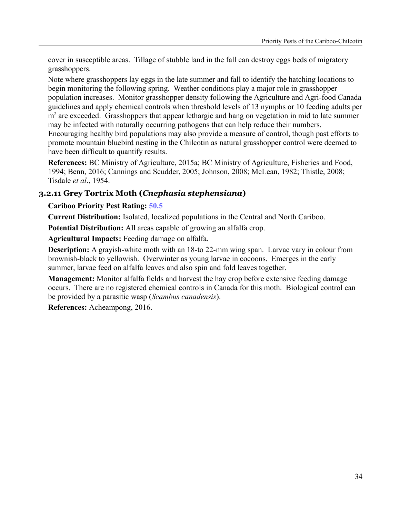cover in susceptible areas. Tillage of stubble land in the fall can destroy eggs beds of migratory grasshoppers.

Note where grasshoppers lay eggs in the late summer and fall to identify the hatching locations to begin monitoring the following spring. Weather conditions play a major role in grasshopper population increases. Monitor grasshopper density following the Agriculture and Agri-food Canada guidelines and apply chemical controls when threshold levels of 13 nymphs or 10 feeding adults per m<sup>2</sup> are exceeded. Grasshoppers that appear lethargic and hang on vegetation in mid to late summer may be infected with naturally occurring pathogens that can help reduce their numbers. Encouraging healthy bird populations may also provide a measure of control, though past efforts to promote mountain bluebird nesting in the Chilcotin as natural grasshopper control were deemed to have been difficult to quantify results.

**References:** BC Ministry of Agriculture, 2015a; BC Ministry of Agriculture, Fisheries and Food, 1994; Benn, 2016; Cannings and Scudder, 2005; Johnson, 2008; McLean, 1982; Thistle, 2008; Tisdale *et al*., 1954.

## **3.2.11 Grey Tortrix Moth (***Cnephasia stephensiana***)**

## **Cariboo Priority Pest Rating: 50.5**

**Current Distribution:** Isolated, localized populations in the Central and North Cariboo.

**Potential Distribution:** All areas capable of growing an alfalfa crop.

**Agricultural Impacts:** Feeding damage on alfalfa.

**Description:** A grayish-white moth with an 18-to 22-mm wing span. Larvae vary in colour from brownish-black to yellowish. Overwinter as young larvae in cocoons. Emerges in the early summer, larvae feed on alfalfa leaves and also spin and fold leaves together.

**Management:** Monitor alfalfa fields and harvest the hay crop before extensive feeding damage occurs. There are no registered chemical controls in Canada for this moth. Biological control can be provided by a parasitic wasp (*Scambus canadensis*).

**References:** Acheampong, 2016.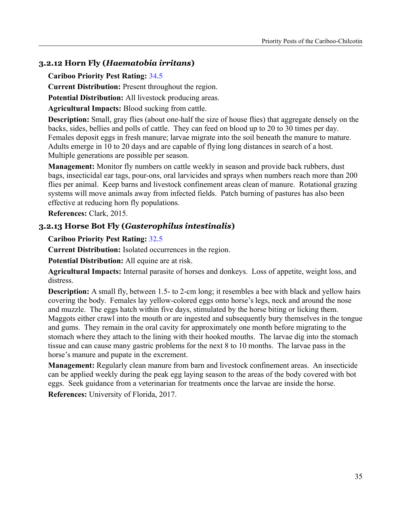## **3.2.12 Horn Fly (***Haematobia irritans***)**

**Cariboo Priority Pest Rating: 34.5**

**Current Distribution:** Present throughout the region.

**Potential Distribution:** All livestock producing areas.

**Agricultural Impacts:** Blood sucking from cattle.

**Description:** Small, gray flies (about one-half the size of house flies) that aggregate densely on the backs, sides, bellies and polls of cattle. They can feed on blood up to 20 to 30 times per day. Females deposit eggs in fresh manure; larvae migrate into the soil beneath the manure to mature. Adults emerge in 10 to 20 days and are capable of flying long distances in search of a host. Multiple generations are possible per season.

**Management:** Monitor fly numbers on cattle weekly in season and provide back rubbers, dust bags, insecticidal ear tags, pour-ons, oral larvicides and sprays when numbers reach more than 200 flies per animal. Keep barns and livestock confinement areas clean of manure. Rotational grazing systems will move animals away from infected fields. Patch burning of pastures has also been effective at reducing horn fly populations.

**References:** Clark, 2015.

## **3.2.13 Horse Bot Fly (***Gasterophilus intestinalis***)**

#### **Cariboo Priority Pest Rating: 32.5**

**Current Distribution:** Isolated occurrences in the region.

**Potential Distribution:** All equine are at risk.

**Agricultural Impacts:** Internal parasite of horses and donkeys. Loss of appetite, weight loss, and distress.

**Description:** A small fly, between 1.5- to 2-cm long; it resembles a bee with black and yellow hairs covering the body. Females lay yellow-colored eggs onto horse's legs, neck and around the nose and muzzle. The eggs hatch within five days, stimulated by the horse biting or licking them. Maggots either crawl into the mouth or are ingested and subsequently bury themselves in the tongue and gums. They remain in the oral cavity for approximately one month before migrating to the stomach where they attach to the lining with their hooked mouths. The larvae dig into the stomach tissue and can cause many gastric problems for the next 8 to 10 months. The larvae pass in the horse's manure and pupate in the excrement.

**Management:** Regularly clean manure from barn and livestock confinement areas. An insecticide can be applied weekly during the peak egg laying season to the areas of the body covered with bot eggs. Seek guidance from a veterinarian for treatments once the larvae are inside the horse.

**References:** University of Florida, 2017.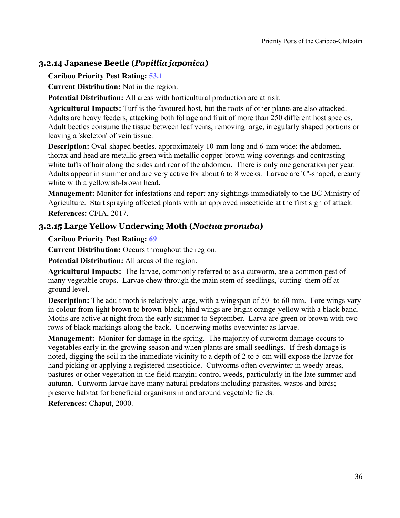# **3.2.14 Japanese Beetle (***Popillia japonica***)**

#### **Cariboo Priority Pest Rating: 53.1**

**Current Distribution:** Not in the region.

**Potential Distribution:** All areas with horticultural production are at risk.

**Agricultural Impacts:** Turf is the favoured host, but the roots of other plants are also attacked. Adults are heavy feeders, attacking both foliage and fruit of more than 250 different host species. Adult beetles consume the tissue between leaf veins, removing large, irregularly shaped portions or leaving a 'skeleton' of vein tissue.

**Description:** Oval-shaped beetles, approximately 10-mm long and 6-mm wide; the abdomen, thorax and head are metallic green with metallic copper-brown wing coverings and contrasting white tufts of hair along the sides and rear of the abdomen. There is only one generation per year. Adults appear in summer and are very active for about 6 to 8 weeks. Larvae are 'C'-shaped, creamy white with a yellowish-brown head.

**Management:** Monitor for infestations and report any sightings immediately to the BC Ministry of Agriculture. Start spraying affected plants with an approved insecticide at the first sign of attack. **References:** CFIA, 2017.

# **3.2.15 Large Yellow Underwing Moth (***Noctua pronuba***)**

#### **Cariboo Priority Pest Rating: 69**

**Current Distribution:** Occurs throughout the region.

**Potential Distribution:** All areas of the region.

**Agricultural Impacts:** The larvae, commonly referred to as a cutworm, are a common pest of many vegetable crops. Larvae chew through the main stem of seedlings, 'cutting' them off at ground level.

**Description:** The adult moth is relatively large, with a wingspan of 50- to 60-mm. Fore wings vary in colour from light brown to brown-black; hind wings are bright orange-yellow with a black band. Moths are active at night from the early summer to September. Larva are green or brown with two rows of black markings along the back. Underwing moths overwinter as larvae.

**Management:** Monitor for damage in the spring. The majority of cutworm damage occurs to vegetables early in the growing season and when plants are small seedlings. If fresh damage is noted, digging the soil in the immediate vicinity to a depth of 2 to 5-cm will expose the larvae for hand picking or applying a registered insecticide. Cutworms often overwinter in weedy areas, pastures or other vegetation in the field margin; control weeds, particularly in the late summer and autumn. Cutworm larvae have many natural predators including parasites, wasps and birds; preserve habitat for beneficial organisms in and around vegetable fields.

**References:** Chaput, 2000.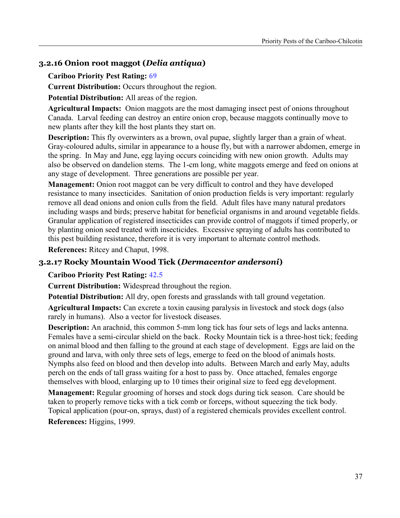# **3.2.16 Onion root maggot (***Delia antiqua***)**

#### **Cariboo Priority Pest Rating: 69**

**Current Distribution:** Occurs throughout the region.

**Potential Distribution:** All areas of the region.

**Agricultural Impacts:** Onion maggots are the most damaging insect pest of onions throughout Canada. Larval feeding can destroy an entire onion crop, because maggots continually move to new plants after they kill the host plants they start on.

**Description:** This fly overwinters as a brown, oval pupae, slightly larger than a grain of wheat. Gray-coloured adults, similar in appearance to a house fly, but with a narrower abdomen, emerge in the spring. In May and June, egg laying occurs coinciding with new onion growth. Adults may also be observed on dandelion stems. The 1-cm long, white maggots emerge and feed on onions at any stage of development. Three generations are possible per year.

**Management:** Onion root maggot can be very difficult to control and they have developed resistance to many insecticides. Sanitation of onion production fields is very important: regularly remove all dead onions and onion culls from the field. Adult files have many natural predators including wasps and birds; preserve habitat for beneficial organisms in and around vegetable fields. Granular application of registered insecticides can provide control of maggots if timed properly, or by planting onion seed treated with insecticides. Excessive spraying of adults has contributed to this pest building resistance, therefore it is very important to alternate control methods.

**References:** Ritcey and Chaput, 1998.

## **3.2.17 Rocky Mountain Wood Tick (***Dermacentor andersoni***)**

#### **Cariboo Priority Pest Rating: 42.5**

**Current Distribution:** Widespread throughout the region.

**Potential Distribution:** All dry, open forests and grasslands with tall ground vegetation.

**Agricultural Impacts:** Can excrete a toxin causing paralysis in livestock and stock dogs (also rarely in humans). Also a vector for livestock diseases.

**Description:** An arachnid, this common 5-mm long tick has four sets of legs and lacks antenna. Females have a semi-circular shield on the back. Rocky Mountain tick is a three-host tick; feeding on animal blood and then falling to the ground at each stage of development. Eggs are laid on the ground and larva, with only three sets of legs, emerge to feed on the blood of animals hosts. Nymphs also feed on blood and then develop into adults. Between March and early May, adults perch on the ends of tall grass waiting for a host to pass by. Once attached, females engorge themselves with blood, enlarging up to 10 times their original size to feed egg development.

**Management:** Regular grooming of horses and stock dogs during tick season. Care should be taken to properly remove ticks with a tick comb or forceps, without squeezing the tick body. Topical application (pour-on, sprays, dust) of a registered chemicals provides excellent control.

**References:** Higgins, 1999.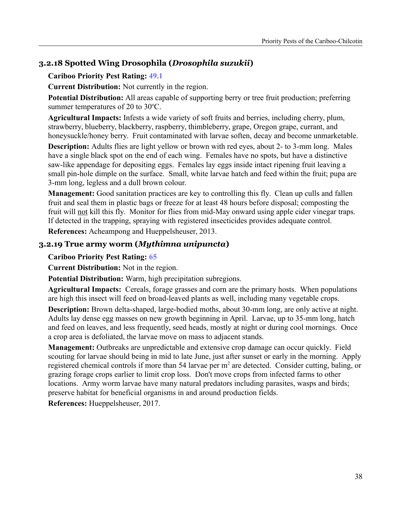# **3.2.18 Spotted Wing Drosophila (***Drosophila suzukii***)**

## **Cariboo Priority Pest Rating: 49.1**

**Current Distribution:** Not currently in the region.

**Potential Distribution:** All areas capable of supporting berry or tree fruit production; preferring summer temperatures of 20 to  $30^{\circ}$ C.

**Agricultural Impacts:** Infests a wide variety of soft fruits and berries, including cherry, plum, strawberry, blueberry, blackberry, raspberry, thimbleberry, grape, Oregon grape, currant, and honeysuckle/honey berry. Fruit contaminated with larvae soften, decay and become unmarketable.

**Description:** Adults flies are light yellow or brown with red eyes, about 2- to 3-mm long. Males have a single black spot on the end of each wing. Females have no spots, but have a distinctive saw-like appendage for depositing eggs. Females lay eggs inside intact ripening fruit leaving a small pin-hole dimple on the surface. Small, white larvae hatch and feed within the fruit; pupa are 3-mm long, legless and a dull brown colour.

**Management:** Good sanitation practices are key to controlling this fly. Clean up culls and fallen fruit and seal them in plastic bags or freeze for at least 48 hours before disposal; composting the fruit will not kill this fly. Monitor for flies from mid-May onward using apple cider vinegar traps. If detected in the trapping, spraying with registered insecticides provides adequate control.

**References:** Acheampong and Hueppelsheuser, 2013.

## **3.2.19 True army worm (***Mythimna unipuncta***)**

#### **Cariboo Priority Pest Rating: 65**

**Current Distribution:** Not in the region.

**Potential Distribution:** Warm, high precipitation subregions.

**Agricultural Impacts:** Cereals, forage grasses and corn are the primary hosts. When populations are high this insect will feed on broad-leaved plants as well, including many vegetable crops.

**Description:** Brown delta-shaped, large-bodied moths, about 30-mm long, are only active at night. Adults lay dense egg masses on new growth beginning in April. Larvae, up to 35-mm long, hatch and feed on leaves, and less frequently, seed heads, mostly at night or during cool mornings. Once a crop area is defoliated, the larvae move on mass to adjacent stands.

**Management:** Outbreaks are unpredictable and extensive crop damage can occur quickly. Field scouting for larvae should being in mid to late June, just after sunset or early in the morning. Apply registered chemical controls if more than 54 larvae per  $m<sup>2</sup>$  are detected. Consider cutting, baling, or grazing forage crops earlier to limit crop loss. Don't move crops from infected farms to other locations. Army worm larvae have many natural predators including parasites, wasps and birds; preserve habitat for beneficial organisms in and around production fields.

**References:** Hueppelsheuser, 2017.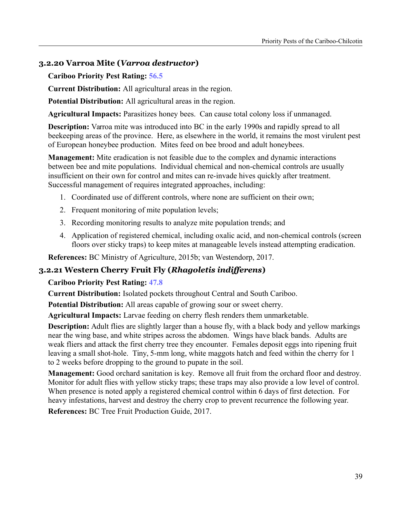# **3.2.20 Varroa Mite (***Varroa destructor***)**

**Cariboo Priority Pest Rating: 56.5**

**Current Distribution:** All agricultural areas in the region.

**Potential Distribution:** All agricultural areas in the region.

**Agricultural Impacts:** Parasitizes honey bees. Can cause total colony loss if unmanaged.

**Description:** Varroa mite was introduced into BC in the early 1990s and rapidly spread to all beekeeping areas of the province. Here, as elsewhere in the world, it remains the most virulent pest of European honeybee production. Mites feed on bee brood and adult honeybees.

**Management:** Mite eradication is not feasible due to the complex and dynamic interactions between bee and mite populations. Individual chemical and non-chemical controls are usually insufficient on their own for control and mites can re-invade hives quickly after treatment. Successful management of requires integrated approaches, including:

- 1. Coordinated use of different controls, where none are sufficient on their own;
- 2. Frequent monitoring of mite population levels;
- 3. Recording monitoring results to analyze mite population trends; and
- 4. Application of registered chemical, including oxalic acid, and non-chemical controls (screen floors over sticky traps) to keep mites at manageable levels instead attempting eradication.

**References:** BC Ministry of Agriculture, 2015b; van Westendorp, 2017.

## **3.2.21 Western Cherry Fruit Fly (***Rhagoletis indifferens***)**

**Cariboo Priority Pest Rating: 47.8**

**Current Distribution:** Isolated pockets throughout Central and South Cariboo.

**Potential Distribution:** All areas capable of growing sour or sweet cherry.

**Agricultural Impacts:** Larvae feeding on cherry flesh renders them unmarketable.

**Description:** Adult flies are slightly larger than a house fly, with a black body and yellow markings near the wing base, and white stripes across the abdomen. Wings have black bands. Adults are weak fliers and attack the first cherry tree they encounter. Females deposit eggs into ripening fruit leaving a small shot-hole. Tiny, 5-mm long, white maggots hatch and feed within the cherry for 1 to 2 weeks before dropping to the ground to pupate in the soil.

**Management:** Good orchard sanitation is key. Remove all fruit from the orchard floor and destroy. Monitor for adult flies with yellow sticky traps; these traps may also provide a low level of control. When presence is noted apply a registered chemical control within 6 days of first detection. For heavy infestations, harvest and destroy the cherry crop to prevent recurrence the following year.

**References:** BC Tree Fruit Production Guide, 2017.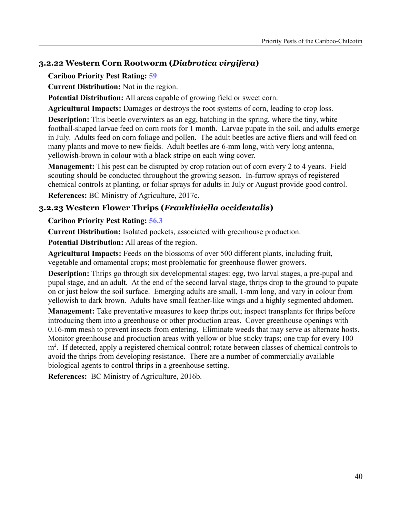# **3.2.22 Western Corn Rootworm (***Diabrotica virgifera***)**

## **Cariboo Priority Pest Rating: 59**

**Current Distribution:** Not in the region.

**Potential Distribution:** All areas capable of growing field or sweet corn.

**Agricultural Impacts:** Damages or destroys the root systems of corn, leading to crop loss.

**Description:** This beetle overwinters as an egg, hatching in the spring, where the tiny, white football-shaped larvae feed on corn roots for 1 month. Larvae pupate in the soil, and adults emerge in July. Adults feed on corn foliage and pollen. The adult beetles are active fliers and will feed on many plants and move to new fields. Adult beetles are 6-mm long, with very long antenna, yellowish-brown in colour with a black stripe on each wing cover.

**Management:** This pest can be disrupted by crop rotation out of corn every 2 to 4 years. Field scouting should be conducted throughout the growing season. In-furrow sprays of registered chemical controls at planting, or foliar sprays for adults in July or August provide good control.

**References:** BC Ministry of Agriculture, 2017c.

# **3.2.23 Western Flower Thrips (***Frankliniella occidentalis***)**

## **Cariboo Priority Pest Rating: 56.3**

**Current Distribution:** Isolated pockets, associated with greenhouse production.

**Potential Distribution:** All areas of the region.

**Agricultural Impacts:** Feeds on the blossoms of over 500 different plants, including fruit, vegetable and ornamental crops; most problematic for greenhouse flower growers.

**Description:** Thrips go through six developmental stages: egg, two larval stages, a pre-pupal and pupal stage, and an adult. At the end of the second larval stage, thrips drop to the ground to pupate on or just below the soil surface. Emerging adults are small, 1-mm long, and vary in colour from yellowish to dark brown. Adults have small feather-like wings and a highly segmented abdomen.

**Management:** Take preventative measures to keep thrips out; inspect transplants for thrips before introducing them into a greenhouse or other production areas. Cover greenhouse openings with 0.16-mm mesh to prevent insects from entering. Eliminate weeds that may serve as alternate hosts. Monitor greenhouse and production areas with yellow or blue sticky traps; one trap for every 100 m<sup>2</sup>. If detected, apply a registered chemical control; rotate between classes of chemical controls to avoid the thrips from developing resistance. There are a number of commercially available biological agents to control thrips in a greenhouse setting.

**References:** BC Ministry of Agriculture, 2016b.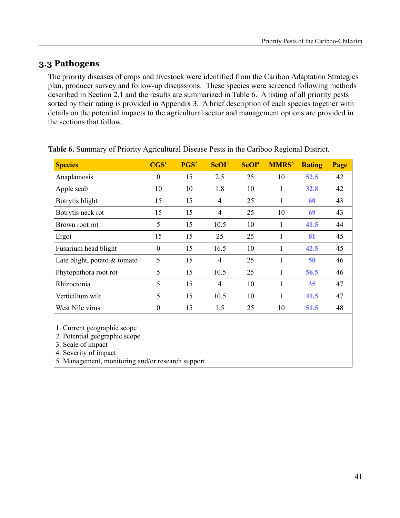# **3.3 Pathogens**

The priority diseases of crops and livestock were identified from the Cariboo Adaptation Strategies plan, producer survey and follow-up discussions. These species were screened following methods described in Section 2.1 and the results are summarized in Table 6. A listing of all priority pests sorted by their rating is provided in Appendix 3. A brief description of each species together with details on the potential impacts to the agricultural sector and management options are provided in the sections that follow.

| <b>Species</b>                 | $\mathbf{CGS}^1$ | PGS <sup>2</sup> | ScOI <sup>3</sup> | SeOI <sup>4</sup> | <b>MMRS</b> <sup>5</sup> | <b>Rating</b> | Page |
|--------------------------------|------------------|------------------|-------------------|-------------------|--------------------------|---------------|------|
| Anaplamosis                    | $\boldsymbol{0}$ | 15               | 2.5               | 25                | 10                       | 52.5          | 42   |
| Apple scab                     | 10               | 10               | 1.8               | 10                |                          | 32.8          | 42   |
| Botrytis blight                | 15               | 15               | $\overline{4}$    | 25                | 1                        | 60            | 43   |
| Botrytis neck rot              | 15               | 15               | $\overline{4}$    | 25                | 10                       | 69            | 43   |
| Brown root rot                 | 5                | 15               | 10.5              | 10                | 1                        | 41.5          | 44   |
| Ergot                          | 15               | 15               | 25                | 25                | $\mathbf{1}$             | 81            | 45   |
| Fusarium head blight           | $\boldsymbol{0}$ | 15               | 16.5              | 10                | 1                        | 42.5          | 45   |
| Late blight, potato $&$ tomato | 5                | 15               | $\overline{4}$    | 25                | 1                        | 50            | 46   |
| Phytophthora root rot          | 5                | 15               | 10.5              | 25                |                          | 56.5          | 46   |
| Rhizoctonia                    | 5                | 15               | $\overline{4}$    | 10                | 1                        | 35            | 47   |
| Verticilium wilt               | 5                | 15               | 10.5              | 10                | 1                        | 41.5          | 47   |
| West Nile virus                | $\boldsymbol{0}$ | 15               | 1.5               | 25                | 10                       | 51.5          | 48   |
| 1. Current geographic scope    |                  |                  |                   |                   |                          |               |      |

**Table 6.** Summary of Priority Agricultural Disease Pests in the Cariboo Regional District.

2. Potential geographic scope

3. Scale of impact

4. Severity of impact

5. Management, monitoring and/or research support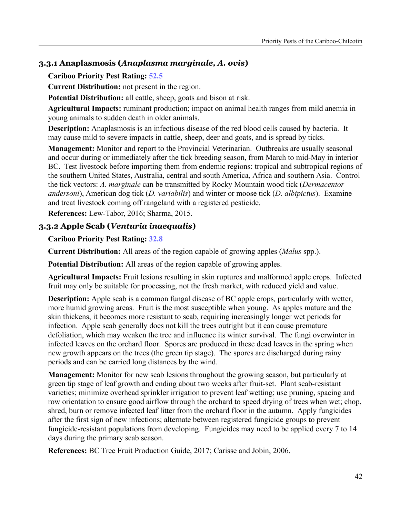## **3.3.1 Anaplasmosis (***Anaplasma marginale, A. ovis***)**

#### **Cariboo Priority Pest Rating: 52.5**

**Current Distribution:** not present in the region.

**Potential Distribution:** all cattle, sheep, goats and bison at risk.

**Agricultural Impacts:** ruminant production; impact on animal health ranges from mild anemia in young animals to sudden death in older animals.

**Description:** Anaplasmosis is an infectious disease of the red blood cells caused by bacteria. It may cause mild to severe impacts in cattle, sheep, deer and goats, and is spread by ticks.

**Management:** Monitor and report to the Provincial Veterinarian. Outbreaks are usually seasonal and occur during or immediately after the tick breeding season, from March to mid-May in interior BC. Test livestock before importing them from endemic regions: tropical and subtropical regions of the southern United States, Australia, central and south America, Africa and southern Asia. Control the tick vectors: *A. marginale* can be transmitted by Rocky Mountain wood tick (*Dermacentor andersoni*), American dog tick (*D. variabilis*) and winter or moose tick (*D. albipictus*). Examine and treat livestock coming off rangeland with a registered pesticide.

**References:** Lew-Tabor, 2016; Sharma, 2015.

## **3.3.2 Apple Scab (***Venturia inaequalis***)**

#### **Cariboo Priority Pest Rating: 32.8**

**Current Distribution:** All areas of the region capable of growing apples (*Malus* spp.).

**Potential Distribution:** All areas of the region capable of growing apples.

**Agricultural Impacts:** Fruit lesions resulting in skin ruptures and malformed apple crops. Infected fruit may only be suitable for processing, not the fresh market, with reduced yield and value.

**Description:** Apple scab is a common fungal disease of BC apple crops*,* particularly with wetter, more humid growing areas. Fruit is the most susceptible when young. As apples mature and the skin thickens, it becomes more resistant to scab, requiring increasingly longer wet periods for infection. Apple scab generally does not kill the trees outright but it can cause premature defoliation, which may weaken the tree and influence its winter survival. The fungi overwinter in infected leaves on the orchard floor. Spores are produced in these dead leaves in the spring when new growth appears on the trees (the green tip stage). The spores are discharged during rainy periods and can be carried long distances by the wind.

**Management:** Monitor for new scab lesions throughout the growing season, but particularly at green tip stage of leaf growth and ending about two weeks after fruit-set. Plant scab-resistant varieties; minimize overhead sprinkler irrigation to prevent leaf wetting; use pruning, spacing and row orientation to ensure good airflow through the orchard to speed drying of trees when wet; chop, shred, burn or remove infected leaf litter from the orchard floor in the autumn. Apply fungicides after the first sign of new infections; alternate between registered fungicide groups to prevent fungicide-resistant populations from developing. Fungicides may need to be applied every 7 to 14 days during the primary scab season.

**References:** BC Tree Fruit Production Guide, 2017; Carisse and Jobin, 2006.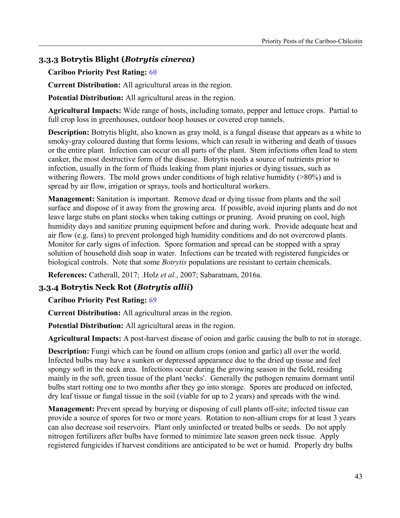# **3.3.3 Botrytis Blight (***Botrytis cinerea***)**

#### **Cariboo Priority Pest Rating: 60**

**Current Distribution:** All agricultural areas in the region.

**Potential Distribution:** All agricultural areas in the region.

**Agricultural Impacts:** Wide range of hosts, including tomato, pepper and lettuce crops. Partial to full crop loss in greenhouses, outdoor hoop houses or covered crop tunnels.

**Description:** Botrytis blight, also known as gray mold, is a fungal disease that appears as a white to smoky-gray coloured dusting that forms lesions, which can result in withering and death of tissues or the entire plant. Infection can occur on all parts of the plant. Stem infections often lead to stem canker, the most destructive form of the disease. Botrytis needs a source of nutrients prior to infection, usually in the form of fluids leaking from plant injuries or dying tissues, such as withering flowers. The mold grows under conditions of high relative humidity  $(>80%)$  and is spread by air flow, irrigation or sprays, tools and horticultural workers.

**Management:** Sanitation is important. Remove dead or dying tissue from plants and the soil surface and dispose of it away from the growing area. If possible, avoid injuring plants and do not leave large stubs on plant stocks when taking cuttings or pruning. Avoid pruning on cool, high humidity days and sanitize pruning equipment before and during work. Provide adequate heat and air flow (e.g. fans) to prevent prolonged high humidity conditions and do not overcrowd plants. Monitor for early signs of infection. Spore formation and spread can be stopped with a spray solution of household dish soap in water. Infections can be treated with registered fungicides or biological controls. Note that some *Botrytis* populations are resistant to certain chemicals.

**References:** Catherall, 2017; .Holz *et al.*, 2007; Sabaratnam, 2016a.

## **3.3.4 Botrytis Neck Rot (***Botrytis allii***)**

**Cariboo Priority Pest Rating: 69**

**Current Distribution:** All agricultural areas in the region.

**Potential Distribution:** All agricultural areas in the region.

**Agricultural Impacts:** A post-harvest disease of onion and garlic causing the bulb to rot in storage.

**Description:** Fungi which can be found on allium crops (onion and garlic) all over the world. Infected bulbs may have a sunken or depressed appearance due to the dried up tissue and feel spongy soft in the neck area. Infections occur during the growing season in the field, residing mainly in the soft, green tissue of the plant 'necks'. Generally the pathogen remains dormant until bulbs start rotting one to two months after they go into storage. Spores are produced on infected, dry leaf tissue or fungal tissue in the soil (viable for up to 2 years) and spreads with the wind.

**Management:** Prevent spread by burying or disposing of cull plants off-site; infected tissue can provide a source of spores for two or more years. Rotation to non-allium crops for at least 3 years can also decrease soil reservoirs. Plant only uninfected or treated bulbs or seeds. Do not apply nitrogen fertilizers after bulbs have formed to minimize late season green neck tissue. Apply registered fungicides if harvest conditions are anticipated to be wet or humid. Properly dry bulbs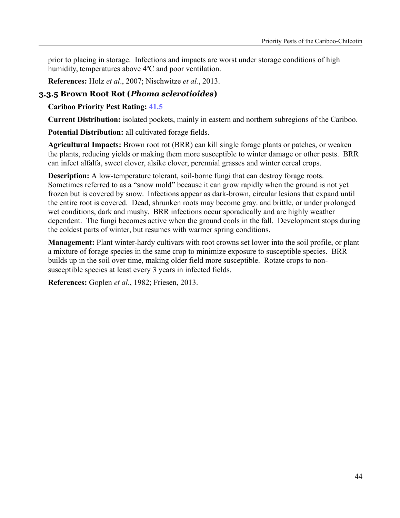prior to placing in storage. Infections and impacts are worst under storage conditions of high humidity, temperatures above  $4^{\circ}$ C and poor ventilation.

**References:** Holz *et al*., 2007; Nischwitze *et al.*, 2013.

# **3.3.5 Brown Root Rot (***Phoma sclerotioides***)**

**Cariboo Priority Pest Rating: 41.5**

**Current Distribution:** isolated pockets, mainly in eastern and northern subregions of the Cariboo.

**Potential Distribution:** all cultivated forage fields.

**Agricultural Impacts:** Brown root rot (BRR) can kill single forage plants or patches, or weaken the plants, reducing yields or making them more susceptible to winter damage or other pests. BRR can infect alfalfa, sweet clover, alsike clover, perennial grasses and winter cereal crops.

**Description:** A low-temperature tolerant, soil-borne fungi that can destroy forage roots. Sometimes referred to as a "snow mold" because it can grow rapidly when the ground is not yet frozen but is covered by snow. Infections appear as dark-brown, circular lesions that expand until the entire root is covered. Dead, shrunken roots may become gray. and brittle, or under prolonged wet conditions, dark and mushy. BRR infections occur sporadically and are highly weather dependent. The fungi becomes active when the ground cools in the fall. Development stops during the coldest parts of winter, but resumes with warmer spring conditions.

**Management:** Plant winter-hardy cultivars with root crowns set lower into the soil profile, or plant a mixture of forage species in the same crop to minimize exposure to susceptible species. BRR builds up in the soil over time, making older field more susceptible. Rotate crops to nonsusceptible species at least every 3 years in infected fields.

**References:** Goplen *et al*., 1982; Friesen, 2013.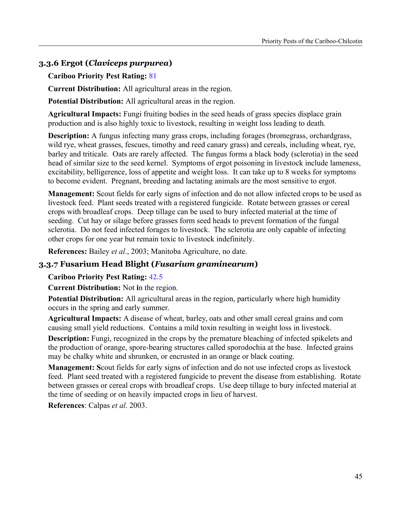# **3.3.6 Ergot (***Claviceps purpurea***)**

#### **Cariboo Priority Pest Rating: 81**

**Current Distribution:** All agricultural areas in the region.

**Potential Distribution:** All agricultural areas in the region.

**Agricultural Impacts:** Fungi fruiting bodies in the seed heads of grass species displace grain production and is also highly toxic to livestock, resulting in weight loss leading to death.

**Description:** A fungus infecting many grass crops, including forages (bromegrass, orchardgrass, wild rye, wheat grasses, fescues, timothy and reed canary grass) and cereals, including wheat, rye, barley and triticale. Oats are rarely affected. The fungus forms a black body (sclerotia) in the seed head of similar size to the seed kernel. Symptoms of ergot poisoning in livestock include lameness, excitability, belligerence, loss of appetite and weight loss. It can take up to 8 weeks for symptoms to become evident. Pregnant, breeding and lactating animals are the most sensitive to ergot.

**Management:** Scout fields for early signs of infection and do not allow infected crops to be used as livestock feed. Plant seeds treated with a registered fungicide. Rotate between grasses or cereal crops with broadleaf crops. Deep tillage can be used to bury infected material at the time of seeding. Cut hay or silage before grasses form seed heads to prevent formation of the fungal sclerotia. Do not feed infected forages to livestock. The sclerotia are only capable of infecting other crops for one year but remain toxic to livestock indefinitely.

**References:** Bailey *et al*., 2003; Manitoba Agriculture, no date.

#### **3.3.7 Fusarium Head Blight (***Fusarium graminearum***)**

#### **Cariboo Priority Pest Rating: 42.5**

**Current Distribution:** Not **i**n the region.

**Potential Distribution:** All agricultural areas in the region, particularly where high humidity occurs in the spring and early summer.

**Agricultural Impacts:** A disease of wheat, barley, oats and other small cereal grains and corn causing small yield reductions. Contains a mild toxin resulting in weight loss in livestock.

**Description:** Fungi, recognized in the crops by the premature bleaching of infected spikelets and the production of orange, spore-bearing structures called sporodochia at the base. Infected grains may be chalky white and shrunken, or encrusted in an orange or black coating.

**Management: S**cout fields for early signs of infection and do not use infected crops as livestock feed. Plant seed treated with a registered fungicide to prevent the disease from establishing. Rotate between grasses or cereal crops with broadleaf crops. Use deep tillage to bury infected material at the time of seeding or on heavily impacted crops in lieu of harvest.

**References**: Calpas *et al*. 2003.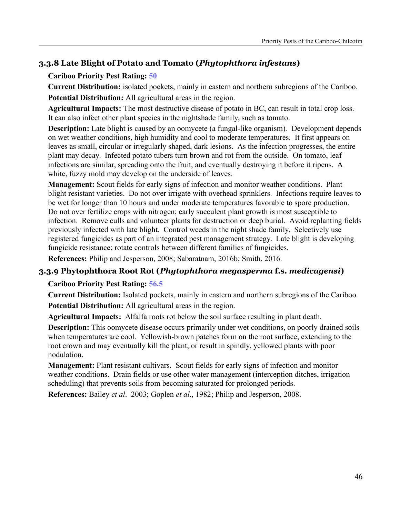# **3.3.8 Late Blight of Potato and Tomato (***Phytophthora infestans***)**

## **Cariboo Priority Pest Rating: 50**

**Current Distribution:** isolated pockets, mainly in eastern and northern subregions of the Cariboo. **Potential Distribution:** All agricultural areas in the region.

**Agricultural Impacts:** The most destructive disease of potato in BC, can result in total crop loss. It can also infect other plant species in the nightshade family, such as tomato.

**Description:** Late blight is caused by an oomycete (a fungal-like organism)*.* Development depends on wet weather conditions, high humidity and cool to moderate temperatures. It first appears on leaves as small, circular or irregularly shaped, dark lesions. As the infection progresses, the entire plant may decay. Infected potato tubers turn brown and rot from the outside. On tomato, leaf infections are similar, spreading onto the fruit, and eventually destroying it before it ripens. A white, fuzzy mold may develop on the underside of leaves.

**Management:** Scout fields for early signs of infection and monitor weather conditions. Plant blight resistant varieties. Do not over irrigate with overhead sprinklers. Infections require leaves to be wet for longer than 10 hours and under moderate temperatures favorable to spore production. Do not over fertilize crops with nitrogen; early succulent plant growth is most susceptible to infection. Remove culls and volunteer plants for destruction or deep burial. Avoid replanting fields previously infected with late blight. Control weeds in the night shade family. Selectively use registered fungicides as part of an integrated pest management strategy. Late blight is developing fungicide resistance; rotate controls between different families of fungicides.

**References:** Philip and Jesperson, 2008; Sabaratnam, 2016b; Smith, 2016.

## **3.3.9 Phytophthora Root Rot (***Phytophthora megasperma* **f.s.** *medicagensi***)**

#### **Cariboo Priority Pest Rating: 56.5**

**Current Distribution:** Isolated pockets, mainly in eastern and northern subregions of the Cariboo. **Potential Distribution:** All agricultural areas in the region.

**Agricultural Impacts:** Alfalfa roots rot below the soil surface resulting in plant death.

**Description:** This oomycete disease occurs primarily under wet conditions, on poorly drained soils when temperatures are cool. Yellowish-brown patches form on the root surface, extending to the root crown and may eventually kill the plant, or result in spindly, yellowed plants with poor nodulation.

**Management:** Plant resistant cultivars. Scout fields for early signs of infection and monitor weather conditions. Drain fields or use other water management (interception ditches, irrigation scheduling) that prevents soils from becoming saturated for prolonged periods.

**References:** Bailey *et al*. 2003; Goplen *et al*., 1982; Philip and Jesperson, 2008.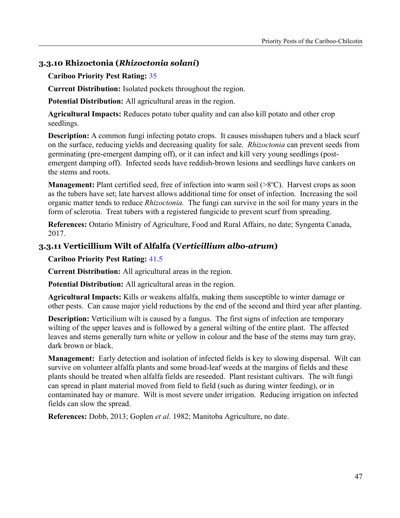## **3.3.10 Rhizoctonia (***Rhizoctonia solani***)**

#### **Cariboo Priority Pest Rating: 35**

**Current Distribution:** Isolated pockets throughout the region.

**Potential Distribution:** All agricultural areas in the region.

**Agricultural Impacts:** Reduces potato tuber quality and can also kill potato and other crop seedlings.

**Description:** A common fungi infecting potato crops. It causes misshapen tubers and a black scurf on the surface, reducing yields and decreasing quality for sale. *Rhizoctonia* can prevent seeds from germinating (pre-emergent damping off), or it can infect and kill very young seedlings (postemergent damping off). Infected seeds have reddish-brown lesions and seedlings have cankers on the stems and roots.

**Management:** Plant certified seed, free of infection into warm soil (>8<sup>o</sup>C). Harvest crops as soon as the tubers have set; late harvest allows additional time for onset of infection. Increasing the soil organic matter tends to reduce *Rhizoctonia.* The fungi can survive in the soil for many years in the form of sclerotia. Treat tubers with a registered fungicide to prevent scurf from spreading.

**References:** Ontario Ministry of Agriculture, Food and Rural Affairs, no date; Syngenta Canada, 2017.

## **3.3.11 Verticillium Wilt of Alfalfa (V***erticillium albo-atrum***)**

**Cariboo Priority Pest Rating: 41.5**

**Current Distribution:** All agricultural areas in the region.

**Potential Distribution:** All agricultural areas in the region.

**Agricultural Impacts:** Kills or weakens alfalfa, making them susceptible to winter damage or other pests. Can cause major yield reductions by the end of the second and third year after planting.

**Description:** Verticilium wilt is caused by a fungus. The first signs of infection are temporary wilting of the upper leaves and is followed by a general wilting of the entire plant. The affected leaves and stems generally turn white or yellow in colour and the base of the stems may turn gray, dark brown or black.

**Management:** Early detection and isolation of infected fields is key to slowing dispersal. Wilt can survive on volunteer alfalfa plants and some broad-leaf weeds at the margins of fields and these plants should be treated when alfalfa fields are reseeded. Plant resistant cultivars. The wilt fungi can spread in plant material moved from field to field (such as during winter feeding), or in contaminated hay or manure. Wilt is most severe under irrigation. Reducing irrigation on infected fields can slow the spread.

**References:** Dobb, 2013; Goplen *et al*. 1982; Manitoba Agriculture, no date.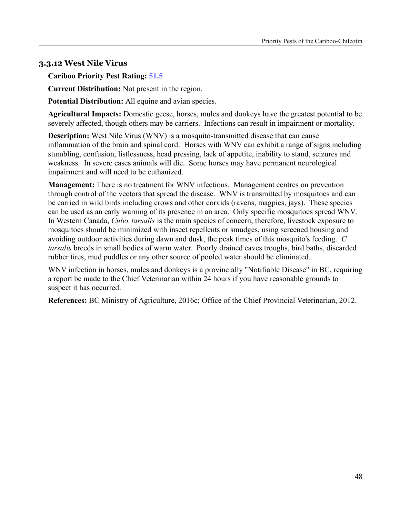## **3.3.12 West Nile Virus**

**Cariboo Priority Pest Rating: 51.5**

**Current Distribution:** Not present in the region.

**Potential Distribution:** All equine and avian species.

**Agricultural Impacts:** Domestic geese, horses, mules and donkeys have the greatest potential to be severely affected, though others may be carriers. Infections can result in impairment or mortality.

**Description:** West Nile Virus (WNV) is a mosquito-transmitted disease that can cause inflammation of the brain and spinal cord. Horses with WNV can exhibit a range of signs including stumbling, confusion, listlessness, head pressing, lack of appetite, inability to stand, seizures and weakness. In severe cases animals will die. Some horses may have permanent neurological impairment and will need to be euthanized.

**Management:** There is no treatment for WNV infections. Management centres on prevention through control of the vectors that spread the disease. WNV is transmitted by mosquitoes and can be carried in wild birds including crows and other corvids (ravens, magpies, jays). These species can be used as an early warning of its presence in an area. Only specific mosquitoes spread WNV. In Western Canada, *Culex tarsalis* is the main species of concern, therefore, livestock exposure to mosquitoes should be minimized with insect repellents or smudges, using screened housing and avoiding outdoor activities during dawn and dusk, the peak times of this mosquito's feeding. *C. tarsalis* breeds in small bodies of warm water. Poorly drained eaves troughs, bird baths, discarded rubber tires, mud puddles or any other source of pooled water should be eliminated.

WNV infection in horses, mules and donkeys is a provincially "Notifiable Disease" in BC, requiring a report be made to the Chief Veterinarian within 24 hours if you have reasonable grounds to suspect it has occurred.

**References:** BC Ministry of Agriculture, 2016c; Office of the Chief Provincial Veterinarian, 2012.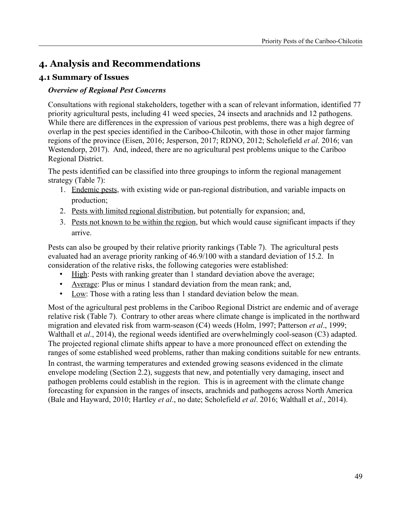# **4. Analysis and Recommendations**

## **4.1 Summary of Issues**

#### *Overview of Regional Pest Concerns*

Consultations with regional stakeholders, together with a scan of relevant information, identified 77 priority agricultural pests, including 41 weed species, 24 insects and arachnids and 12 pathogens. While there are differences in the expression of various pest problems, there was a high degree of overlap in the pest species identified in the Cariboo-Chilcotin, with those in other major farming regions of the province (Eisen, 2016; Jesperson, 2017; RDNO, 2012; Scholefield *et al*. 2016; van Westendorp, 2017). And, indeed, there are no agricultural pest problems unique to the Cariboo Regional District.

The pests identified can be classified into three groupings to inform the regional management strategy (Table 7):

- 1. Endemic pests, with existing wide or pan-regional distribution, and variable impacts on production;
- 2. Pests with limited regional distribution, but potentially for expansion; and,
- 3. Pests not known to be within the region, but which would cause significant impacts if they arrive.

Pests can also be grouped by their relative priority rankings (Table 7). The agricultural pests evaluated had an average priority ranking of 46.9/100 with a standard deviation of 15.2. In consideration of the relative risks, the following categories were established:

- High: Pests with ranking greater than 1 standard deviation above the average;
- Average: Plus or minus 1 standard deviation from the mean rank; and,
- Low: Those with a rating less than 1 standard deviation below the mean.

Most of the agricultural pest problems in the Cariboo Regional District are endemic and of average relative risk (Table 7). Contrary to other areas where climate change is implicated in the northward migration and elevated risk from warm-season (C4) weeds (Holm, 1997; Patterson *et al*., 1999; Walthall et *al.*, 2014), the regional weeds identified are overwhelmingly cool-season (C3) adapted. The projected regional climate shifts appear to have a more pronounced effect on extending the ranges of some established weed problems, rather than making conditions suitable for new entrants.

In contrast, the warming temperatures and extended growing seasons evidenced in the climate envelope modeling (Section 2.2), suggests that new, and potentially very damaging, insect and pathogen problems could establish in the region. This is in agreement with the climate change forecasting for expansion in the ranges of insects, arachnids and pathogens across North America (Bale and Hayward, 2010; Hartley *et al*., no date; Scholefield *et al*. 2016; Walthall et *al*., 2014).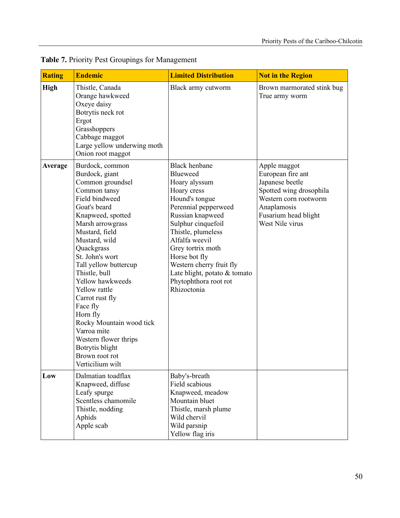| <b>Rating</b> | <b>Endemic</b>                                                                                                                                                                                                                                                                                                                                                                                                                                                              | <b>Limited Distribution</b>                                                                                                                                                                                                                                                                                                            | <b>Not in the Region</b>                                                                                                                                           |
|---------------|-----------------------------------------------------------------------------------------------------------------------------------------------------------------------------------------------------------------------------------------------------------------------------------------------------------------------------------------------------------------------------------------------------------------------------------------------------------------------------|----------------------------------------------------------------------------------------------------------------------------------------------------------------------------------------------------------------------------------------------------------------------------------------------------------------------------------------|--------------------------------------------------------------------------------------------------------------------------------------------------------------------|
| <b>High</b>   | Thistle, Canada<br>Orange hawkweed<br>Oxeye daisy<br>Botrytis neck rot<br>Ergot<br>Grasshoppers<br>Cabbage maggot<br>Large yellow underwing moth<br>Onion root maggot                                                                                                                                                                                                                                                                                                       | Black army cutworm                                                                                                                                                                                                                                                                                                                     | Brown marmorated stink bug<br>True army worm                                                                                                                       |
| Average       | Burdock, common<br>Burdock, giant<br>Common groundsel<br>Common tansy<br>Field bindweed<br>Goat's beard<br>Knapweed, spotted<br>Marsh arrowgrass<br>Mustard, field<br>Mustard, wild<br>Quackgrass<br>St. John's wort<br>Tall yellow buttercup<br>Thistle, bull<br>Yellow hawkweeds<br>Yellow rattle<br>Carrot rust fly<br>Face fly<br>Horn fly<br>Rocky Mountain wood tick<br>Varroa mite<br>Western flower thrips<br>Botrytis blight<br>Brown root rot<br>Verticilium wilt | <b>Black henbane</b><br>Blueweed<br>Hoary alyssum<br>Hoary cress<br>Hound's tongue<br>Perennial pepperweed<br>Russian knapweed<br>Sulphur cinquefoil<br>Thistle, plumeless<br>Alfalfa weevil<br>Grey tortrix moth<br>Horse bot fly<br>Western cherry fruit fly<br>Late blight, potato & tomato<br>Phytophthora root rot<br>Rhizoctonia | Apple maggot<br>European fire ant<br>Japanese beetle<br>Spotted wing drosophila<br>Western corn rootworm<br>Anaplamosis<br>Fusarium head blight<br>West Nile virus |
| Low           | Dalmatian toadflax<br>Knapweed, diffuse<br>Leafy spurge<br>Scentless chamomile<br>Thistle, nodding<br>Aphids<br>Apple scab                                                                                                                                                                                                                                                                                                                                                  | Baby's-breath<br>Field scabious<br>Knapweed, meadow<br>Mountain bluet<br>Thistle, marsh plume<br>Wild chervil<br>Wild parsnip<br>Yellow flag iris                                                                                                                                                                                      |                                                                                                                                                                    |

**Table 7.** Priority Pest Groupings for Management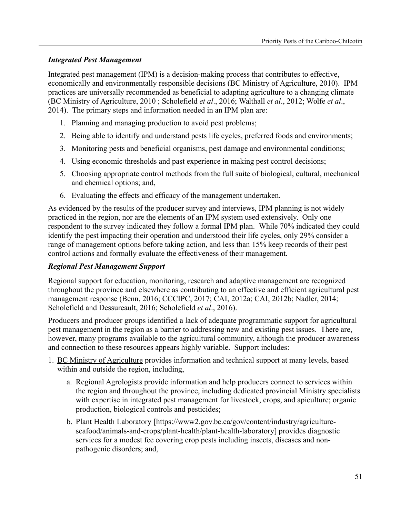## *Integrated Pest Management*

Integrated pest management (IPM) is a decision-making process that contributes to effective, economically and environmentally responsible decisions (BC Ministry of Agriculture, 2010). IPM practices are universally recommended as beneficial to adapting agriculture to a changing climate (BC Ministry of Agriculture, 2010 ; Scholefield *et al*., 2016; Walthall *et al*., 2012; Wolfe *et al*., 2014). The primary steps and information needed in an IPM plan are:

- 1. Planning and managing production to avoid pest problems;
- 2. Being able to identify and understand pests life cycles, preferred foods and environments;
- 3. Monitoring pests and beneficial organisms, pest damage and environmental conditions;
- 4. Using economic thresholds and past experience in making pest control decisions;
- 5. Choosing appropriate control methods from the full suite of biological, cultural, mechanical and chemical options; and,
- 6. Evaluating the effects and efficacy of the management undertaken.

As evidenced by the results of the producer survey and interviews, IPM planning is not widely practiced in the region, nor are the elements of an IPM system used extensively. Only one respondent to the survey indicated they follow a formal IPM plan. While 70% indicated they could identify the pest impacting their operation and understood their life cycles, only 29% consider a range of management options before taking action, and less than 15% keep records of their pest control actions and formally evaluate the effectiveness of their management.

## *Regional Pest Management Support*

Regional support for education, monitoring, research and adaptive management are recognized throughout the province and elsewhere as contributing to an effective and efficient agricultural pest management response (Benn, 2016; CCCIPC, 2017; CAI, 2012a; CAI, 2012b; Nadler, 2014; Scholefield and Dessureault, 2016; Scholefield *et al*., 2016).

Producers and producer groups identified a lack of adequate programmatic support for agricultural pest management in the region as a barrier to addressing new and existing pest issues. There are, however, many programs available to the agricultural community, although the producer awareness and connection to these resources appears highly variable. Support includes:

- 1. BC Ministry of Agriculture provides information and technical support at many levels, based within and outside the region, including,
	- a. Regional Agrologists provide information and help producers connect to services within the region and throughout the province, including dedicated provincial Ministry specialists with expertise in integrated pest management for livestock, crops, and apiculture; organic production, biological controls and pesticides;
	- b. Plant Health Laboratory [https://www2.gov.bc.ca/gov/content/industry/agricultureseafood/animals-and-crops/plant-health/plant-health-laboratory] provides diagnostic services for a modest fee covering crop pests including insects, diseases and nonpathogenic disorders; and,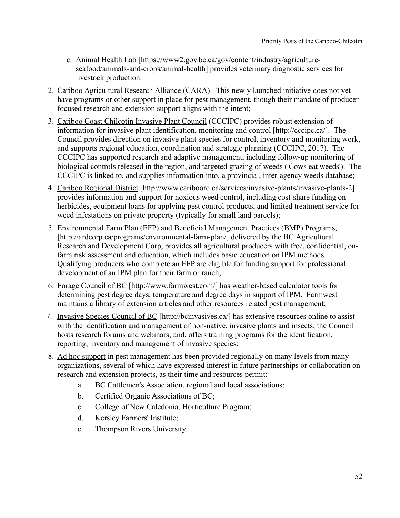- c. Animal Health Lab [https://www2.gov.bc.ca/gov/content/industry/agricultureseafood/animals-and-crops/animal-health] provides veterinary diagnostic services for livestock production.
- 2. Cariboo Agricultural Research Alliance (CARA). This newly launched initiative does not yet have programs or other support in place for pest management, though their mandate of producer focused research and extension support aligns with the intent;
- 3. Cariboo Coast Chilcotin Invasive Plant Council (CCCIPC) provides robust extension of information for invasive plant identification, monitoring and control [http://cccipc.ca/]. The Council provides direction on invasive plant species for control, inventory and monitoring work, and supports regional education, coordination and strategic planning (CCCIPC, 2017). The CCCIPC has supported research and adaptive management, including follow-up monitoring of biological controls released in the region, and targeted grazing of weeds ('Cows eat weeds'). The CCCIPC is linked to, and supplies information into, a provincial, inter-agency weeds database;
- 4. Cariboo Regional District [http://www.cariboord.ca/services/invasive-plants/invasive-plants-2] provides information and support for noxious weed control, including cost-share funding on herbicides, equipment loans for applying pest control products, and limited treatment service for weed infestations on private property (typically for small land parcels);
- 5. Environmental Farm Plan (EFP) and Beneficial Management Practices (BMP) Programs, [http://ardcorp.ca/programs/environmental-farm-plan/] delivered by the BC Agricultural Research and Development Corp, provides all agricultural producers with free, confidential, onfarm risk assessment and education, which includes basic education on IPM methods. Qualifying producers who complete an EFP are eligible for funding support for professional development of an IPM plan for their farm or ranch;
- 6. Forage Council of BC [http://www.farmwest.com/] has weather-based calculator tools for determining pest degree days, temperature and degree days in support of IPM. Farmwest maintains a library of extension articles and other resources related pest management;
- 7. Invasive Species Council of BC [http://bcinvasives.ca/] has extensive resources online to assist with the identification and management of non-native, invasive plants and insects; the Council hosts research forums and webinars; and, offers training programs for the identification, reporting, inventory and management of invasive species;
- 8. Ad hoc support in pest management has been provided regionally on many levels from many organizations, several of which have expressed interest in future partnerships or collaboration on research and extension projects, as their time and resources permit:
	- a. BC Cattlemen's Association, regional and local associations;
	- b. Certified Organic Associations of BC;
	- c. College of New Caledonia, Horticulture Program;
	- d. Kersley Farmers' Institute;
	- e. Thompson Rivers University.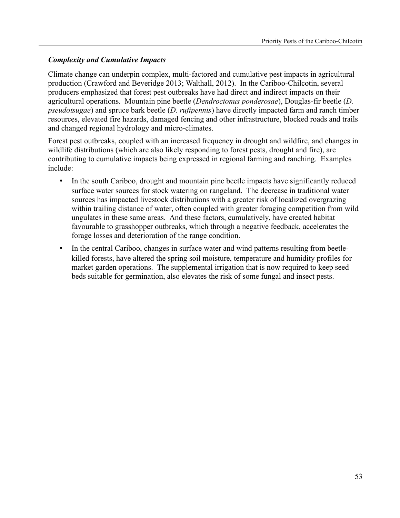## *Complexity and Cumulative Impacts*

Climate change can underpin complex, multi-factored and cumulative pest impacts in agricultural production (Crawford and Beveridge 2013; Walthall, 2012). In the Cariboo-Chilcotin, several producers emphasized that forest pest outbreaks have had direct and indirect impacts on their agricultural operations. Mountain pine beetle (*Dendroctonus ponderosae*), Douglas-fir beetle (*D. pseudotsugae*) and spruce bark beetle (*D. rufipennis*) have directly impacted farm and ranch timber resources, elevated fire hazards, damaged fencing and other infrastructure, blocked roads and trails and changed regional hydrology and micro-climates.

Forest pest outbreaks, coupled with an increased frequency in drought and wildfire, and changes in wildlife distributions (which are also likely responding to forest pests, drought and fire), are contributing to cumulative impacts being expressed in regional farming and ranching. Examples include:

- In the south Cariboo, drought and mountain pine beetle impacts have significantly reduced surface water sources for stock watering on rangeland. The decrease in traditional water sources has impacted livestock distributions with a greater risk of localized overgrazing within trailing distance of water, often coupled with greater foraging competition from wild ungulates in these same areas. And these factors, cumulatively, have created habitat favourable to grasshopper outbreaks, which through a negative feedback, accelerates the forage losses and deterioration of the range condition.
- In the central Cariboo, changes in surface water and wind patterns resulting from beetlekilled forests, have altered the spring soil moisture, temperature and humidity profiles for market garden operations. The supplemental irrigation that is now required to keep seed beds suitable for germination, also elevates the risk of some fungal and insect pests.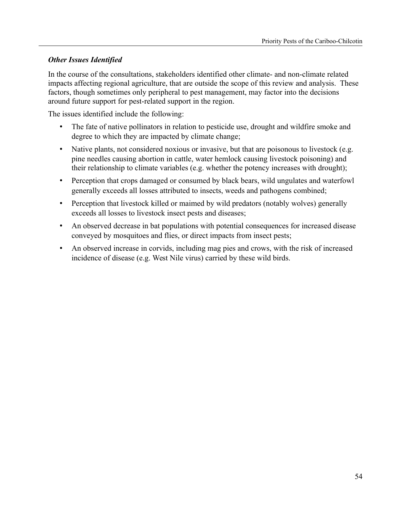## *Other Issues Identified*

In the course of the consultations, stakeholders identified other climate- and non-climate related impacts affecting regional agriculture, that are outside the scope of this review and analysis. These factors, though sometimes only peripheral to pest management, may factor into the decisions around future support for pest-related support in the region.

The issues identified include the following:

- The fate of native pollinators in relation to pesticide use, drought and wildfire smoke and degree to which they are impacted by climate change;
- Native plants, not considered noxious or invasive, but that are poisonous to livestock (e.g. pine needles causing abortion in cattle, water hemlock causing livestock poisoning) and their relationship to climate variables (e.g. whether the potency increases with drought);
- Perception that crops damaged or consumed by black bears, wild ungulates and waterfowl generally exceeds all losses attributed to insects, weeds and pathogens combined;
- Perception that livestock killed or maimed by wild predators (notably wolves) generally exceeds all losses to livestock insect pests and diseases;
- An observed decrease in bat populations with potential consequences for increased disease conveyed by mosquitoes and flies, or direct impacts from insect pests;
- An observed increase in corvids, including mag pies and crows, with the risk of increased incidence of disease (e.g. West Nile virus) carried by these wild birds.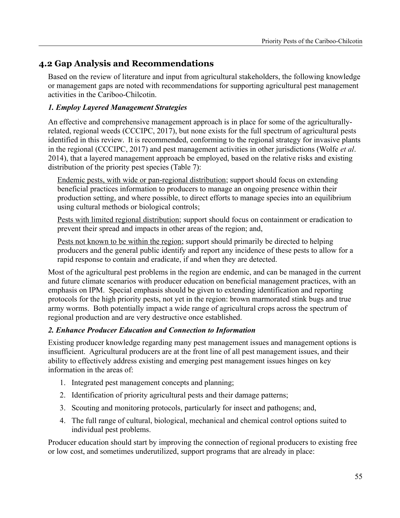# **4.2 Gap Analysis and Recommendations**

Based on the review of literature and input from agricultural stakeholders, the following knowledge or management gaps are noted with recommendations for supporting agricultural pest management activities in the Cariboo-Chilcotin.

## *1. Employ Layered Management Strategies*

An effective and comprehensive management approach is in place for some of the agriculturallyrelated, regional weeds (CCCIPC, 2017), but none exists for the full spectrum of agricultural pests identified in this review. It is recommended, conforming to the regional strategy for invasive plants in the regional (CCCIPC, 2017) and pest management activities in other jurisdictions (Wolfe *et al*. 2014), that a layered management approach be employed, based on the relative risks and existing distribution of the priority pest species (Table 7):

Endemic pests, with wide or pan-regional distribution; support should focus on extending beneficial practices information to producers to manage an ongoing presence within their production setting, and where possible, to direct efforts to manage species into an equilibrium using cultural methods or biological controls;

Pests with limited regional distribution; support should focus on containment or eradication to prevent their spread and impacts in other areas of the region; and,

Pests not known to be within the region; support should primarily be directed to helping producers and the general public identify and report any incidence of these pests to allow for a rapid response to contain and eradicate, if and when they are detected.

Most of the agricultural pest problems in the region are endemic, and can be managed in the current and future climate scenarios with producer education on beneficial management practices, with an emphasis on IPM. Special emphasis should be given to extending identification and reporting protocols for the high priority pests, not yet in the region: brown marmorated stink bugs and true army worms. Both potentially impact a wide range of agricultural crops across the spectrum of regional production and are very destructive once established.

#### *2. Enhance Producer Education and Connection to Information*

Existing producer knowledge regarding many pest management issues and management options is insufficient. Agricultural producers are at the front line of all pest management issues, and their ability to effectively address existing and emerging pest management issues hinges on key information in the areas of:

- 1. Integrated pest management concepts and planning;
- 2. Identification of priority agricultural pests and their damage patterns;
- 3. Scouting and monitoring protocols, particularly for insect and pathogens; and,
- 4. The full range of cultural, biological, mechanical and chemical control options suited to individual pest problems.

Producer education should start by improving the connection of regional producers to existing free or low cost, and sometimes underutilized, support programs that are already in place: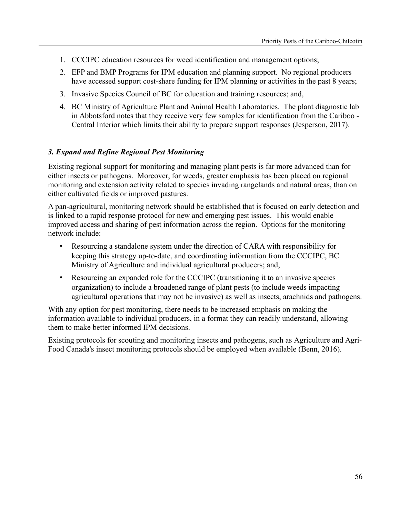- 1. CCCIPC education resources for weed identification and management options;
- 2. EFP and BMP Programs for IPM education and planning support. No regional producers have accessed support cost-share funding for IPM planning or activities in the past 8 years;
- 3. Invasive Species Council of BC for education and training resources; and,
- 4. BC Ministry of Agriculture Plant and Animal Health Laboratories. The plant diagnostic lab in Abbotsford notes that they receive very few samples for identification from the Cariboo - Central Interior which limits their ability to prepare support responses (Jesperson, 2017).

#### *3. Expand and Refine Regional Pest Monitoring*

Existing regional support for monitoring and managing plant pests is far more advanced than for either insects or pathogens. Moreover, for weeds, greater emphasis has been placed on regional monitoring and extension activity related to species invading rangelands and natural areas, than on either cultivated fields or improved pastures.

A pan-agricultural, monitoring network should be established that is focused on early detection and is linked to a rapid response protocol for new and emerging pest issues. This would enable improved access and sharing of pest information across the region. Options for the monitoring network include:

- Resourcing a standalone system under the direction of CARA with responsibility for keeping this strategy up-to-date, and coordinating information from the CCCIPC, BC Ministry of Agriculture and individual agricultural producers; and,
- Resourcing an expanded role for the CCCIPC (transitioning it to an invasive species organization) to include a broadened range of plant pests (to include weeds impacting agricultural operations that may not be invasive) as well as insects, arachnids and pathogens.

With any option for pest monitoring, there needs to be increased emphasis on making the information available to individual producers, in a format they can readily understand, allowing them to make better informed IPM decisions.

Existing protocols for scouting and monitoring insects and pathogens, such as Agriculture and Agri-Food Canada's insect monitoring protocols should be employed when available (Benn, 2016).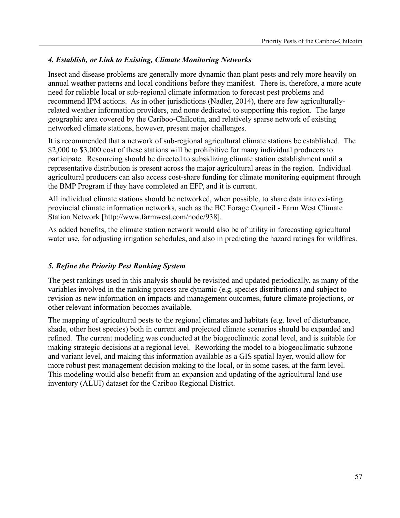## *4. Establish, or Link to Existing, Climate Monitoring Networks*

Insect and disease problems are generally more dynamic than plant pests and rely more heavily on annual weather patterns and local conditions before they manifest. There is, therefore, a more acute need for reliable local or sub-regional climate information to forecast pest problems and recommend IPM actions. As in other jurisdictions (Nadler, 2014), there are few agriculturallyrelated weather information providers, and none dedicated to supporting this region. The large geographic area covered by the Cariboo-Chilcotin, and relatively sparse network of existing networked climate stations, however, present major challenges.

It is recommended that a network of sub-regional agricultural climate stations be established. The \$2,000 to \$3,000 cost of these stations will be prohibitive for many individual producers to participate. Resourcing should be directed to subsidizing climate station establishment until a representative distribution is present across the major agricultural areas in the region. Individual agricultural producers can also access cost-share funding for climate monitoring equipment through the BMP Program if they have completed an EFP, and it is current.

All individual climate stations should be networked, when possible, to share data into existing provincial climate information networks, such as the BC Forage Council - Farm West Climate Station Network [http://www.farmwest.com/node/938].

As added benefits, the climate station network would also be of utility in forecasting agricultural water use, for adjusting irrigation schedules, and also in predicting the hazard ratings for wildfires.

## *5. Refine the Priority Pest Ranking System*

The pest rankings used in this analysis should be revisited and updated periodically, as many of the variables involved in the ranking process are dynamic (e.g. species distributions) and subject to revision as new information on impacts and management outcomes, future climate projections, or other relevant information becomes available.

The mapping of agricultural pests to the regional climates and habitats (e.g. level of disturbance, shade, other host species) both in current and projected climate scenarios should be expanded and refined. The current modeling was conducted at the biogeoclimatic zonal level, and is suitable for making strategic decisions at a regional level. Reworking the model to a biogeoclimatic subzone and variant level, and making this information available as a GIS spatial layer, would allow for more robust pest management decision making to the local, or in some cases, at the farm level. This modeling would also benefit from an expansion and updating of the agricultural land use inventory (ALUI) dataset for the Cariboo Regional District.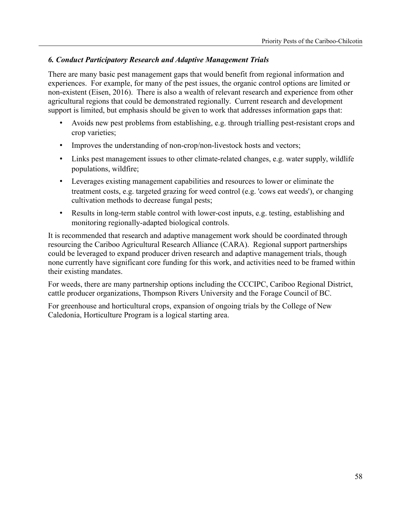## *6. Conduct Participatory Research and Adaptive Management Trials*

There are many basic pest management gaps that would benefit from regional information and experiences. For example, for many of the pest issues, the organic control options are limited or non-existent (Eisen, 2016). There is also a wealth of relevant research and experience from other agricultural regions that could be demonstrated regionally. Current research and development support is limited, but emphasis should be given to work that addresses information gaps that:

- Avoids new pest problems from establishing, e.g. through trialling pest-resistant crops and crop varieties;
- Improves the understanding of non-crop/non-livestock hosts and vectors;
- Links pest management issues to other climate-related changes, e.g. water supply, wildlife populations, wildfire;
- Leverages existing management capabilities and resources to lower or eliminate the treatment costs, e.g. targeted grazing for weed control (e.g. 'cows eat weeds'), or changing cultivation methods to decrease fungal pests;
- Results in long-term stable control with lower-cost inputs, e.g. testing, establishing and monitoring regionally-adapted biological controls.

It is recommended that research and adaptive management work should be coordinated through resourcing the Cariboo Agricultural Research Alliance (CARA). Regional support partnerships could be leveraged to expand producer driven research and adaptive management trials, though none currently have significant core funding for this work, and activities need to be framed within their existing mandates.

For weeds, there are many partnership options including the CCCIPC, Cariboo Regional District, cattle producer organizations, Thompson Rivers University and the Forage Council of BC.

For greenhouse and horticultural crops, expansion of ongoing trials by the College of New Caledonia, Horticulture Program is a logical starting area.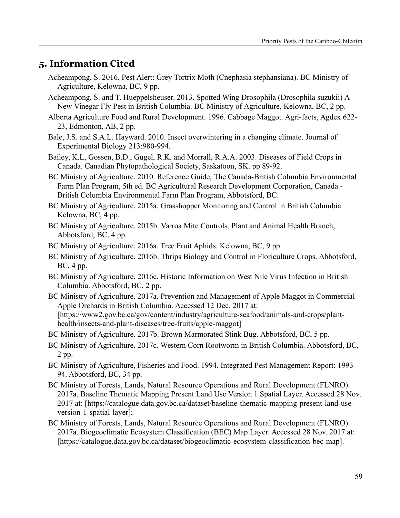# **5. Information Cited**

- Acheampong, S. 2016. Pest Alert: Grey Tortrix Moth (Cnephasia stephansiana). BC Ministry of Agriculture, Kelowna, BC, 9 pp.
- Acheampong, S. and T. Hueppelsheuser. 2013. Spotted Wing Drosophila (Drosophila suzukii) A New Vinegar Fly Pest in British Columbia. BC Ministry of Agriculture, Kelowna, BC, 2 pp.
- Alberta Agriculture Food and Rural Development. 1996. Cabbage Maggot. Agri-facts, Agdex 622- 23, Edmonton, AB, 2 pp.
- Bale, J.S. and S.A.L. Hayward. 2010. Insect overwintering in a changing climate. Journal of Experimental Biology 213:980-994.
- Bailey, K.L, Gossen, B.D., Gugel, R.K. and Morrall, R.A.A. 2003. Diseases of Field Crops in Canada. Canadian Phytopathological Society, Saskatoon, SK. pp 89-92.
- BC Ministry of Agriculture. 2010. Reference Guide, The Canada-British Columbia Environmental Farm Plan Program, 5th ed. BC Agricultural Research Development Corporation, Canada - British Columbia Environmental Farm Plan Program, Abbotsford, BC.
- BC Ministry of Agriculture. 2015a. Grasshopper Monitoring and Control in British Columbia. Kelowna, BC, 4 pp.
- BC Ministry of Agriculture. 2015b. Varroa Mite Controls. Plant and Animal Health Branch, Abbotsford, BC, 4 pp.
- BC Ministry of Agriculture. 2016a. Tree Fruit Aphids. Kelowna, BC, 9 pp.
- BC Ministry of Agriculture. 2016b. Thrips Biology and Control in Floriculture Crops. Abbotsford, BC, 4 pp.
- BC Ministry of Agriculture. 2016c. Historic Information on West Nile Virus Infection in British Columbia. Abbotsford, BC, 2 pp.
- BC Ministry of Agriculture. 2017a. Prevention and Management of Apple Maggot in Commercial Apple Orchards in British Columbia. Accessed 12 Dec. 2017 at: [https://www2.gov.bc.ca/gov/content/industry/agriculture-seafood/animals-and-crops/planthealth/insects-and-plant-diseases/tree-fruits/apple-maggot]

BC Ministry of Agriculture. 2017b. Brown Marmorated Stink Bug. Abbotsford, BC, 5 pp.

- BC Ministry of Agriculture. 2017c. Western Corn Rootworm in British Columbia. Abbotsford, BC, 2 pp.
- BC Ministry of Agriculture, Fisheries and Food. 1994. Integrated Pest Management Report: 1993- 94. Abbotsford, BC, 34 pp.
- BC Ministry of Forests, Lands, Natural Resource Operations and Rural Development (FLNRO). 2017a. Baseline Thematic Mapping Present Land Use Version 1 Spatial Layer. Accessed 28 Nov. 2017 at: [https://catalogue.data.gov.bc.ca/dataset/baseline-thematic-mapping-present-land-useversion-1-spatial-layer];
- BC Ministry of Forests, Lands, Natural Resource Operations and Rural Development (FLNRO). 2017a. Biogeoclimatic Ecosystem Classification (BEC) Map Layer. Accessed 28 Nov. 2017 at: [https://catalogue.data.gov.bc.ca/dataset/biogeoclimatic-ecosystem-classification-bec-map].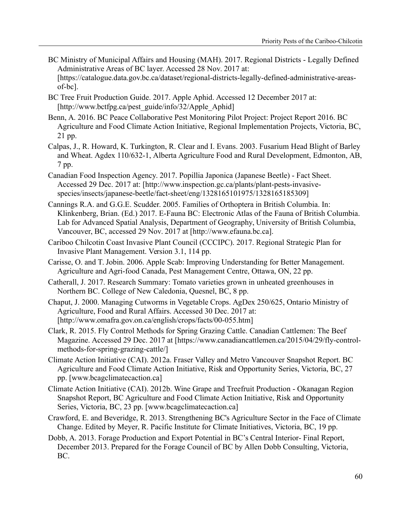- BC Ministry of Municipal Affairs and Housing (MAH). 2017. Regional Districts Legally Defined Administrative Areas of BC layer. Accessed 28 Nov. 2017 at: [https://catalogue.data.gov.bc.ca/dataset/regional-districts-legally-defined-administrative-areasof-bc].
- BC Tree Fruit Production Guide. 2017. Apple Aphid. Accessed 12 December 2017 at: [http://www.bctfpg.ca/pest\_guide/info/32/Apple\_Aphid]
- Benn, A. 2016. BC Peace Collaborative Pest Monitoring Pilot Project: Project Report 2016. BC Agriculture and Food Climate Action Initiative, Regional Implementation Projects, Victoria, BC, 21 pp.
- Calpas, J., R. Howard, K. Turkington, R. Clear and I. Evans. 2003. Fusarium Head Blight of Barley and Wheat. Agdex 110/632-1, Alberta Agriculture Food and Rural Development, Edmonton, AB, 7 pp.
- Canadian Food Inspection Agency. 2017. Popillia Japonica (Japanese Beetle) Fact Sheet. Accessed 29 Dec. 2017 at: [http://www.inspection.gc.ca/plants/plant-pests-invasivespecies/insects/japanese-beetle/fact-sheet/eng/1328165101975/1328165185309]
- Cannings R.A. and G.G.E. Scudder. 2005. Families of Orthoptera in British Columbia. In: Klinkenberg, Brian. (Ed.) 2017. E-Fauna BC: Electronic Atlas of the Fauna of British Columbia. Lab for Advanced Spatial Analysis, Department of Geography, University of British Columbia, Vancouver, BC, accessed 29 Nov. 2017 at [http://www.efauna.bc.ca].
- Cariboo Chilcotin Coast Invasive Plant Council (CCCIPC). 2017. Regional Strategic Plan for Invasive Plant Management. Version 3.1, 114 pp.
- Carisse, O. and T. Jobin. 2006. Apple Scab: Improving Understanding for Better Management. Agriculture and Agri-food Canada, Pest Management Centre, Ottawa, ON, 22 pp.
- Catherall, J. 2017. Research Summary: Tomato varieties grown in unheated greenhouses in Northern BC. College of New Caledonia, Quesnel, BC, 8 pp.
- Chaput, J. 2000. Managing Cutworms in Vegetable Crops. AgDex 250/625, Ontario Ministry of Agriculture, Food and Rural Affairs. Accessed 30 Dec. 2017 at: [http://www.omafra.gov.on.ca/english/crops/facts/00-055.htm]
- Clark, R. 2015. Fly Control Methods for Spring Grazing Cattle. Canadian Cattlemen: The Beef Magazine. Accessed 29 Dec. 2017 at [https://www.canadiancattlemen.ca/2015/04/29/fly-controlmethods-for-spring-grazing-cattle/]
- Climate Action Initiative (CAI). 2012a. Fraser Valley and Metro Vancouver Snapshot Report. BC Agriculture and Food Climate Action Initiative, Risk and Opportunity Series, Victoria, BC, 27 pp. [www.bcagclimatecaction.ca]
- Climate Action Initiative (CAI). 2012b. Wine Grape and Treefruit Production Okanagan Region Snapshot Report, BC Agriculture and Food Climate Action Initiative, Risk and Opportunity Series, Victoria, BC, 23 pp. [www.bcagclimatecaction.ca]
- Crawford, E. and Beveridge, R. 2013. Strengthening BC's Agriculture Sector in the Face of Climate Change. Edited by Meyer, R. Pacific Institute for Climate Initiatives, Victoria, BC, 19 pp.
- Dobb, A. 2013. Forage Production and Export Potential in BC's Central Interior- Final Report, December 2013. Prepared for the Forage Council of BC by Allen Dobb Consulting, Victoria, BC.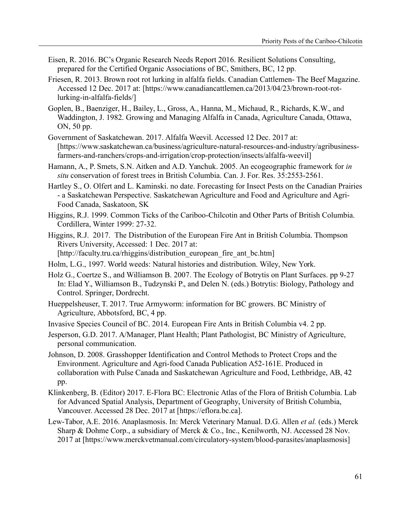- Eisen, R. 2016. BC's Organic Research Needs Report 2016. Resilient Solutions Consulting, prepared for the Certified Organic Associations of BC, Smithers, BC, 12 pp.
- Friesen, R. 2013. Brown root rot lurking in alfalfa fields. Canadian Cattlemen- The Beef Magazine. Accessed 12 Dec. 2017 at: [https://www.canadiancattlemen.ca/2013/04/23/brown-root-rotlurking-in-alfalfa-fields/]
- Goplen, B., Baenziger, H., Bailey, L., Gross, A., Hanna, M., Michaud, R., Richards, K.W., and Waddington, J. 1982. Growing and Managing Alfalfa in Canada, Agriculture Canada, Ottawa, ON, 50 pp.
- Government of Saskatchewan. 2017. Alfalfa Weevil. Accessed 12 Dec. 2017 at: [https://www.saskatchewan.ca/business/agriculture-natural-resources-and-industry/agribusinessfarmers-and-ranchers/crops-and-irrigation/crop-protection/insects/alfalfa-weevil]
- Hamann, A., P. Smets, S.N. Aitken and A.D. Yanchuk. 2005. An ecogeographic framework for *in situ* conservation of forest trees in British Columbia. Can. J. For. Res. 35:2553-2561.
- Hartley S., O. Olfert and L. Kaminski. no date. Forecasting for Insect Pests on the Canadian Prairies - a Saskatchewan Perspective. Saskatchewan Agriculture and Food and Agriculture and Agri-Food Canada, Saskatoon, SK
- Higgins, R.J. 1999. Common Ticks of the Cariboo-Chilcotin and Other Parts of British Columbia. Cordillera, Winter 1999: 27-32.
- Higgins, R.J. 2017. The Distribution of the European Fire Ant in British Columbia. Thompson Rivers University, Accessed: 1 Dec. 2017 at: [http://faculty.tru.ca/rhiggins/distribution\_european\_fire\_ant\_bc.htm]
- Holm, L.G., 1997. World weeds: Natural histories and distribution. Wiley, New York.
- Holz G., Coertze S., and Williamson B. 2007. The Ecology of Botrytis on Plant Surfaces. pp 9-27 In: Elad Y., Williamson B., Tudzynski P., and Delen N. (eds.) Botrytis: Biology, Pathology and Control. Springer, Dordrecht.
- Hueppelsheuser, T. 2017. True Armyworm: information for BC growers. BC Ministry of Agriculture, Abbotsford, BC, 4 pp.
- Invasive Species Council of BC. 2014. European Fire Ants in British Columbia v4. 2 pp.
- Jesperson, G.D. 2017. A/Manager, Plant Health; Plant Pathologist, BC Ministry of Agriculture, personal communication.
- Johnson, D. 2008. Grasshopper Identification and Control Methods to Protect Crops and the Environment. Agriculture and Agri-food Canada Publication A52-161E. Produced in collaboration with Pulse Canada and Saskatchewan Agriculture and Food, Lethbridge, AB, 42 pp.
- Klinkenberg, B. (Editor) 2017. E-Flora BC: Electronic Atlas of the Flora of British Columbia. Lab for Advanced Spatial Analysis, Department of Geography, University of British Columbia, Vancouver. Accessed 28 Dec. 2017 at [https://eflora.bc.ca].
- Lew-Tabor, A.E. 2016. Anaplasmosis. In: Merck Veterinary Manual. D.G. Allen *et al.* (eds.) Merck Sharp & Dohme Corp., a subsidiary of Merck & Co., Inc., Kenilworth, NJ. Accessed 28 Nov. 2017 at [https://www.merckvetmanual.com/circulatory-system/blood-parasites/anaplasmosis]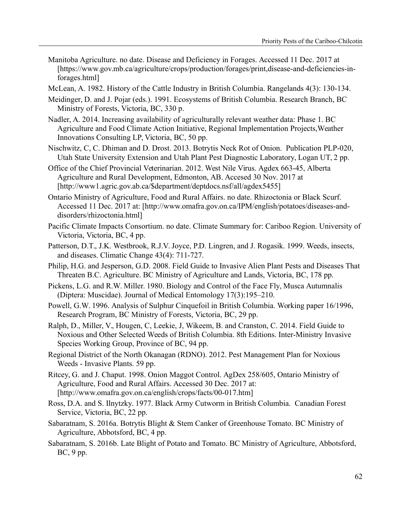- Manitoba Agriculture. no date. Disease and Deficiency in Forages. Accessed 11 Dec. 2017 at [https://www.gov.mb.ca/agriculture/crops/production/forages/print,disease-and-deficiencies-inforages.html]
- McLean, A. 1982. History of the Cattle Industry in British Columbia. Rangelands 4(3): 130-134.
- Meidinger, D. and J. Pojar (eds.). 1991. Ecosystems of British Columbia. Research Branch, BC Ministry of Forests, Victoria, BC, 330 p.
- Nadler, A. 2014. Increasing availability of agriculturally relevant weather data: Phase 1. BC Agriculture and Food Climate Action Initiative, Regional Implementation Projects,Weather Innovations Consulting LP, Victoria, BC, 50 pp.
- Nischwitz, C, C. Dhiman and D. Drost. 2013. Botrytis Neck Rot of Onion. Publication PLP-020, Utah State University Extension and Utah Plant Pest Diagnostic Laboratory, Logan UT, 2 pp.
- Office of the Chief Provincial Veterinarian. 2012. West Nile Virus. Agdex 663-45, Alberta Agriculture and Rural Development, Edmonton, AB. Accesed 30 Nov. 2017 at [http://www1.agric.gov.ab.ca/\$department/deptdocs.nsf/all/agdex5455]
- Ontario Ministry of Agriculture, Food and Rural Affairs. no date. Rhizoctonia or Black Scurf. Accessed 11 Dec. 2017 at: [http://www.omafra.gov.on.ca/IPM/english/potatoes/diseases-anddisorders/rhizoctonia.html]
- Pacific Climate Impacts Consortium. no date. Climate Summary for: Cariboo Region. University of Victoria, Victoria, BC, 4 pp.
- Patterson, D.T., J.K. Westbrook, R.J.V. Joyce, P.D. Lingren, and J. Rogasik. 1999. Weeds, insects, and diseases. Climatic Change 43(4): 711-727.
- Philip, H.G. and Jesperson, G.D. 2008. Field Guide to Invasive Alien Plant Pests and Diseases That Threaten B.C. Agriculture. BC Ministry of Agriculture and Lands, Victoria, BC, 178 pp.
- Pickens, L.G. and R.W. Miller. 1980. Biology and Control of the Face Fly, Musca Autumnalis (Diptera: Muscidae). Journal of Medical Entomology 17(3):195–210.
- Powell, G.W. 1996. Analysis of Sulphur Cinquefoil in British Columbia. Working paper 16/1996, Research Program, BC Ministry of Forests, Victoria, BC, 29 pp.
- Ralph, D., Miller, V., Hougen, C, Leekie, J, Wikeem, B. and Cranston, C. 2014. Field Guide to Noxious and Other Selected Weeds of British Columbia. 8th Editions. Inter-Ministry Invasive Species Working Group, Province of BC, 94 pp.
- Regional District of the North Okanagan (RDNO). 2012. Pest Management Plan for Noxious Weeds - Invasive Plants. 59 pp.
- Ritcey, G. and J. Chaput. 1998. Onion Maggot Control. AgDex 258/605, Ontario Ministry of Agriculture, Food and Rural Affairs. Accessed 30 Dec. 2017 at: [http://www.omafra.gov.on.ca/english/crops/facts/00-017.htm]
- Ross, D.A. and S. Ilnytzky. 1977. Black Army Cutworm in British Columbia. Canadian Forest Service, Victoria, BC, 22 pp.
- Sabaratnam, S. 2016a. Botrytis Blight & Stem Canker of Greenhouse Tomato. BC Ministry of Agriculture, Abbotsford, BC, 4 pp.
- Sabaratnam, S. 2016b. Late Blight of Potato and Tomato. BC Ministry of Agriculture, Abbotsford, BC, 9 pp.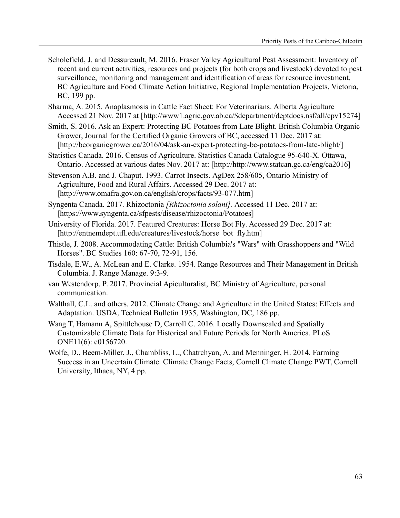- Scholefield, J. and Dessureault, M. 2016. Fraser Valley Agricultural Pest Assessment: Inventory of recent and current activities, resources and projects (for both crops and livestock) devoted to pest surveillance, monitoring and management and identification of areas for resource investment. BC Agriculture and Food Climate Action Initiative, Regional Implementation Projects, Victoria, BC, 199 pp.
- Sharma, A. 2015. Anaplasmosis in Cattle Fact Sheet: For Veterinarians. Alberta Agriculture Accessed 21 Nov. 2017 at [http://www1.agric.gov.ab.ca/\$department/deptdocs.nsf/all/cpv15274]
- Smith, S. 2016. Ask an Expert: Protecting BC Potatoes from Late Blight. British Columbia Organic Grower, Journal for the Certified Organic Growers of BC, accessed 11 Dec. 2017 at: [http://bcorganicgrower.ca/2016/04/ask-an-expert-protecting-bc-potatoes-from-late-blight/]
- Statistics Canada. 2016. Census of Agriculture. Statistics Canada Catalogue 95-640-X. Ottawa, Ontario. Accessed at various dates Nov. 2017 at: [http://http://www.statcan.gc.ca/eng/ca2016]
- Stevenson A.B. and J. Chaput. 1993. Carrot Insects. AgDex 258/605, Ontario Ministry of Agriculture, Food and Rural Affairs. Accessed 29 Dec. 2017 at: [http://www.omafra.gov.on.ca/english/crops/facts/93-077.htm]
- Syngenta Canada. 2017. Rhizoctonia *[Rhizoctonia solani].* Accessed 11 Dec. 2017 at: [https://www.syngenta.ca/sfpests/disease/rhizoctonia/Potatoes]
- University of Florida. 2017. Featured Creatures: Horse Bot Fly. Accessed 29 Dec. 2017 at: [http://entnemdept.ufl.edu/creatures/livestock/horse\_bot\_fly.htm]
- Thistle, J. 2008. Accommodating Cattle: British Columbia's "Wars" with Grasshoppers and "Wild Horses". BC Studies 160: 67-70, 72-91, 156.
- Tisdale, E.W., A. McLean and E. Clarke. 1954. Range Resources and Their Management in British Columbia. J. Range Manage. 9:3-9.
- van Westendorp, P. 2017. Provincial Apiculturalist, BC Ministry of Agriculture, personal communication.
- Walthall, C.L. and others. 2012. Climate Change and Agriculture in the United States: Effects and Adaptation. USDA, Technical Bulletin 1935, Washington, DC, 186 pp.
- Wang T, Hamann A, Spittlehouse D, Carroll C. 2016. Locally Downscaled and Spatially Customizable Climate Data for Historical and Future Periods for North America. PLoS ONE11(6): e0156720.
- Wolfe, D., Beem-Miller, J., Chambliss, L., Chatrchyan, A. and Menninger, H. 2014. Farming Success in an Uncertain Climate. Climate Change Facts, Cornell Climate Change PWT, Cornell University, Ithaca, NY, 4 pp.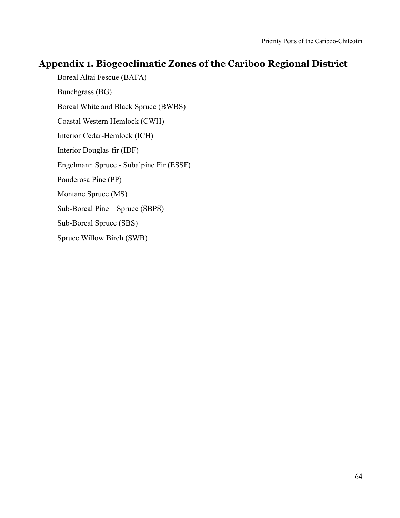# **Appendix 1. Biogeoclimatic Zones of the Cariboo Regional District**

Boreal Altai Fescue (BAFA) Bunchgrass (BG) Boreal White and Black Spruce (BWBS) Coastal Western Hemlock (CWH) Interior Cedar-Hemlock (ICH) Interior Douglas-fir (IDF) Engelmann Spruce - Subalpine Fir (ESSF) Ponderosa Pine (PP) Montane Spruce (MS) Sub-Boreal Pine – Spruce (SBPS) Sub-Boreal Spruce (SBS) Spruce Willow Birch (SWB)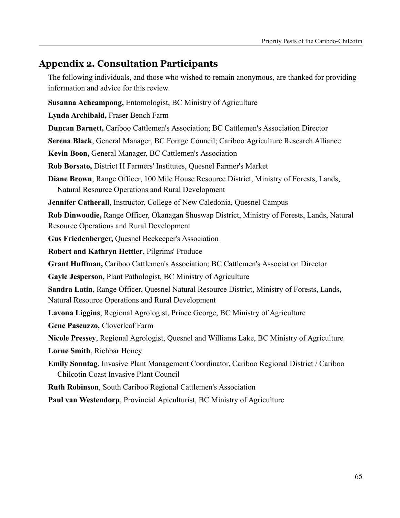# **Appendix 2. Consultation Participants**

The following individuals, and those who wished to remain anonymous, are thanked for providing information and advice for this review.

**Susanna Acheampong,** Entomologist, BC Ministry of Agriculture

**Lynda Archibald,** Fraser Bench Farm

**Duncan Barnett,** Cariboo Cattlemen's Association; BC Cattlemen's Association Director

**Serena Black**, General Manager, BC Forage Council; Cariboo Agriculture Research Alliance

**Kevin Boon,** General Manager, BC Cattlemen's Association

**Rob Borsato,** District H Farmers' Institutes, Quesnel Farmer's Market

**Diane Brown**, Range Officer, 100 Mile House Resource District, Ministry of Forests, Lands, Natural Resource Operations and Rural Development

**Jennifer Catherall**, Instructor, College of New Caledonia, Quesnel Campus

**Rob Dinwoodie,** Range Officer, Okanagan Shuswap District, Ministry of Forests, Lands, Natural Resource Operations and Rural Development

**Gus Friedenberger,** Quesnel Beekeeper's Association

**Robert and Kathryn Hettler**, Pilgrims' Produce

**Grant Huffman,** Cariboo Cattlemen's Association; BC Cattlemen's Association Director

**Gayle Jesperson,** Plant Pathologist, BC Ministry of Agriculture

**Sandra Latin**, Range Officer, Quesnel Natural Resource District, Ministry of Forests, Lands, Natural Resource Operations and Rural Development

**Lavona Liggins**, Regional Agrologist, Prince George, BC Ministry of Agriculture

**Gene Pascuzzo,** Cloverleaf Farm

**Nicole Pressey**, Regional Agrologist, Quesnel and Williams Lake, BC Ministry of Agriculture

**Lorne Smith**, Richbar Honey

**Emily Sonntag**, Invasive Plant Management Coordinator, Cariboo Regional District / Cariboo Chilcotin Coast Invasive Plant Council

**Ruth Robinson**, South Cariboo Regional Cattlemen's Association

**Paul van Westendorp**, Provincial Apiculturist, BC Ministry of Agriculture